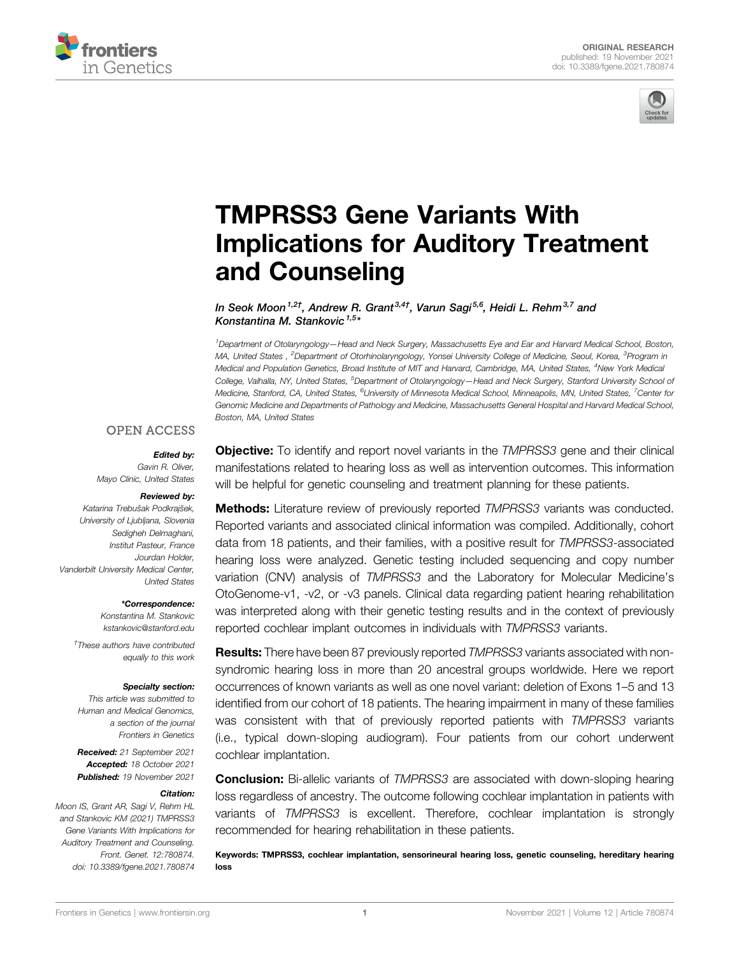



# [TMPRSS3 Gene Variants With](https://www.frontiersin.org/articles/10.3389/fgene.2021.780874/full) [Implications for Auditory Treatment](https://www.frontiersin.org/articles/10.3389/fgene.2021.780874/full) [and Counseling](https://www.frontiersin.org/articles/10.3389/fgene.2021.780874/full)

In Seok Moon<sup>1,2†</sup>, Andrew R. Grant<sup>3,4†</sup>, Varun Sagi<sup>5,6</sup>, Heidi L. Rehm<sup>3,7</sup> and Konstantina M. Stankovic <sup>1,5</sup>\*

1 Department of Otolaryngology—Head and Neck Surgery, Massachusetts Eye and Ear and Harvard Medical School, Boston, MA, United States , <sup>2</sup>Department of Otorhinolaryngology, Yonsei University College of Medicine, Seoul, Korea, <sup>3</sup>Program in Medical and Population Genetics, Broad Institute of MIT and Harvard, Cambridge, MA, United States, <sup>4</sup>New York Medica College, Valhalla, NY, United States, <sup>5</sup>Department of Otolaryngology—Head and Neck Surgery, Stanford University School oi Medicine, Stanford, CA, United States, <sup>6</sup>University of Minnesota Medical School, Minneapolis, MN, United States, <sup>7</sup>Center for Genomic Medicine and Departments of Pathology and Medicine, Massachusetts General Hospital and Harvard Medical School, Boston, MA, United States

### **OPEN ACCESS**

### Edited by:

Gavin R. Oliver, Mayo Clinic, United States

#### Reviewed by:

Katarina Trebušak Podkrajšek, University of Ljubljana, Slovenia Sedigheh Delmaghani, Institut Pasteur, France Jourdan Holder, Vanderbilt University Medical Center, United States

#### \*Correspondence:

Konstantina M. Stankovic [kstankovic@stanford.edu](mailto:kstankovic@stanford.edu) † These authors have contributed

equally to this work

#### Specialty section:

This article was submitted to Human and Medical Genomics, a section of the journal Frontiers in Genetics

Received: 21 September 2021 Accepted: 18 October 2021 Published: 19 November 2021

#### Citation:

Moon IS, Grant AR, Sagi V, Rehm HL and Stankovic KM (2021) TMPRSS3 Gene Variants With Implications for Auditory Treatment and Counseling. Front. Genet. 12:780874. doi: [10.3389/fgene.2021.780874](https://doi.org/10.3389/fgene.2021.780874)

**Objective:** To identify and report novel variants in the TMPRSS3 gene and their clinical manifestations related to hearing loss as well as intervention outcomes. This information will be helpful for genetic counseling and treatment planning for these patients.

**Methods:** Literature review of previously reported TMPRSS3 variants was conducted. Reported variants and associated clinical information was compiled. Additionally, cohort data from 18 patients, and their families, with a positive result for TMPRSS3-associated hearing loss were analyzed. Genetic testing included sequencing and copy number variation (CNV) analysis of TMPRSS3 and the Laboratory for Molecular Medicine's OtoGenome-v1, -v2, or -v3 panels. Clinical data regarding patient hearing rehabilitation was interpreted along with their genetic testing results and in the context of previously reported cochlear implant outcomes in individuals with TMPRSS3 variants.

**Results:** There have been 87 previously reported TMPRSS3 variants associated with nonsyndromic hearing loss in more than 20 ancestral groups worldwide. Here we report occurrences of known variants as well as one novel variant: deletion of Exons 1–5 and 13 identified from our cohort of 18 patients. The hearing impairment in many of these families was consistent with that of previously reported patients with TMPRSS3 variants (i.e., typical down-sloping audiogram). Four patients from our cohort underwent cochlear implantation.

**Conclusion:** Bi-allelic variants of TMPRSS3 are associated with down-sloping hearing loss regardless of ancestry. The outcome following cochlear implantation in patients with variants of TMPRSS3 is excellent. Therefore, cochlear implantation is strongly recommended for hearing rehabilitation in these patients.

Keywords: TMPRSS3, cochlear implantation, sensorineural hearing loss, genetic counseling, hereditary hearing loss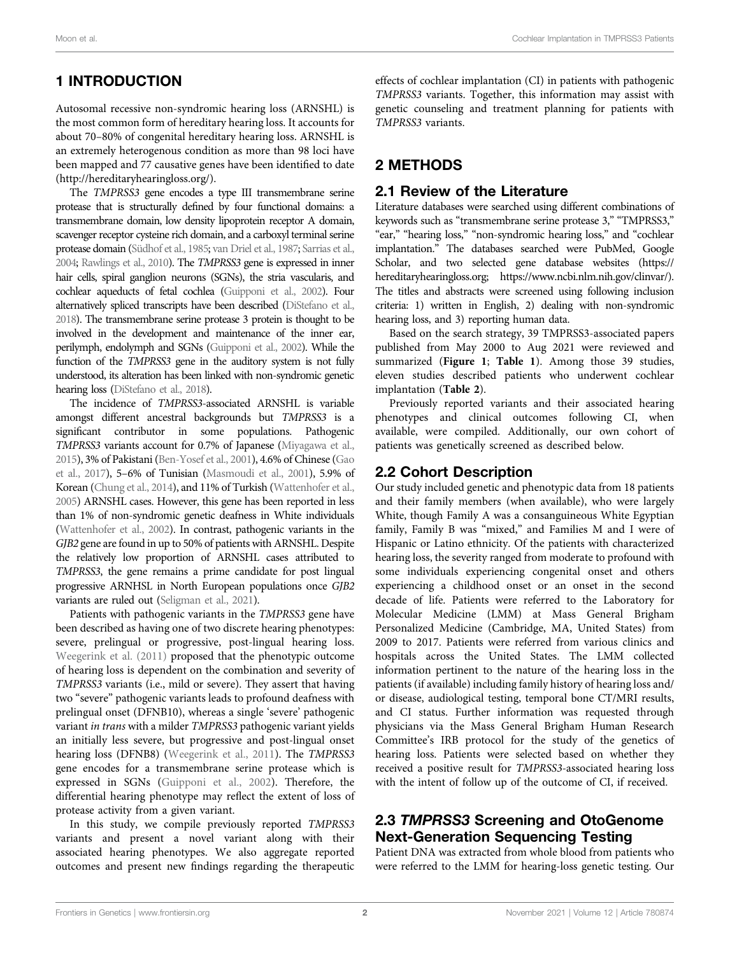# 1 INTRODUCTION

Autosomal recessive non-syndromic hearing loss (ARNSHL) is the most common form of hereditary hearing loss. It accounts for about 70–80% of congenital hereditary hearing loss. ARNSHL is an extremely heterogenous condition as more than 98 loci have been mapped and 77 causative genes have been identified to date ([http://hereditaryhearingloss.org/\)](http://hereditaryhearingloss.org/).

The TMPRSS3 gene encodes a type III transmembrane serine protease that is structurally defined by four functional domains: a transmembrane domain, low density lipoprotein receptor A domain, scavenger receptor cysteine rich domain, and a carboxyl terminal serine protease domain [\(Südhof et al., 1985;](#page-13-0) [van Driel et al., 1987;](#page-13-1) [Sarrias et al.,](#page-12-0) [2004;](#page-12-0) [Rawlings et al., 2010](#page-12-1)). The TMPRSS3 gene is expressed in inner hair cells, spiral ganglion neurons (SGNs), the stria vascularis, and cochlear aqueducts of fetal cochlea [\(Guipponi et al., 2002\)](#page-12-2). Four alternatively spliced transcripts have been described [\(DiStefano et al.,](#page-12-3) [2018\)](#page-12-3). The transmembrane serine protease 3 protein is thought to be involved in the development and maintenance of the inner ear, perilymph, endolymph and SGNs [\(Guipponi et al., 2002\)](#page-12-2). While the function of the TMPRSS3 gene in the auditory system is not fully understood, its alteration has been linked with non-syndromic genetic hearing loss [\(DiStefano et al., 2018](#page-12-3)).

The incidence of TMPRSS3-associated ARNSHL is variable amongst different ancestral backgrounds but TMPRSS3 is a significant contributor in some populations. Pathogenic TMPRSS3 variants account for 0.7% of Japanese ([Miyagawa et al.,](#page-12-4) [2015\)](#page-12-4), 3% of Pakistani [\(Ben-Yosef et al., 2001](#page-11-0)), 4.6% of Chinese [\(Gao](#page-12-5) [et al., 2017](#page-12-5)), 5–6% of Tunisian [\(Masmoudi et al., 2001](#page-12-6)), 5.9% of Korean ([Chung et al., 2014\)](#page-12-7), and 11% of Turkish [\(Wattenhofer et al.,](#page-13-2) [2005\)](#page-13-2) ARNSHL cases. However, this gene has been reported in less than 1% of non-syndromic genetic deafness in White individuals [\(Wattenhofer et al., 2002](#page-13-3)). In contrast, pathogenic variants in the GJB2 gene are found in up to 50% of patients with ARNSHL. Despite the relatively low proportion of ARNSHL cases attributed to TMPRSS3, the gene remains a prime candidate for post lingual progressive ARNHSL in North European populations once GJB2 variants are ruled out [\(Seligman et al., 2021\)](#page-12-8).

Patients with pathogenic variants in the TMPRSS3 gene have been described as having one of two discrete hearing phenotypes: severe, prelingual or progressive, post-lingual hearing loss. [Weegerink et al. \(2011\)](#page-13-4) proposed that the phenotypic outcome of hearing loss is dependent on the combination and severity of TMPRSS3 variants (i.e., mild or severe). They assert that having two "severe" pathogenic variants leads to profound deafness with prelingual onset (DFNB10), whereas a single 'severe' pathogenic variant in trans with a milder TMPRSS3 pathogenic variant yields an initially less severe, but progressive and post-lingual onset hearing loss (DFNB8) ([Weegerink et al., 2011](#page-13-4)). The TMPRSS3 gene encodes for a transmembrane serine protease which is expressed in SGNs ([Guipponi et al., 2002](#page-12-2)). Therefore, the differential hearing phenotype may reflect the extent of loss of protease activity from a given variant.

In this study, we compile previously reported TMPRSS3 variants and present a novel variant along with their associated hearing phenotypes. We also aggregate reported outcomes and present new findings regarding the therapeutic effects of cochlear implantation (CI) in patients with pathogenic TMPRSS3 variants. Together, this information may assist with genetic counseling and treatment planning for patients with TMPRSS3 variants.

# 2 METHODS

## 2.1 Review of the Literature

Literature databases were searched using different combinations of keywords such as "transmembrane serine protease 3," "TMPRSS3," "ear," "hearing loss," "non-syndromic hearing loss," and "cochlear implantation." The databases searched were PubMed, Google Scholar, and two selected gene database websites [\(https://](https://hereditaryhearingloss.org) [hereditaryhearingloss.org;](https://hereditaryhearingloss.org) [https://www.ncbi.nlm.nih.gov/clinvar/\)](https://www.ncbi.nlm.nih.gov/clinvar/). The titles and abstracts were screened using following inclusion criteria: 1) written in English, 2) dealing with non-syndromic hearing loss, and 3) reporting human data.

Based on the search strategy, 39 TMPRSS3-associated papers published from May 2000 to Aug 2021 were reviewed and summarized ([Figure 1](#page-2-0); [Table 1](#page-3-0)). Among those 39 studies, eleven studies described patients who underwent cochlear implantation ([Table 2](#page-7-0)).

Previously reported variants and their associated hearing phenotypes and clinical outcomes following CI, when available, were compiled. Additionally, our own cohort of patients was genetically screened as described below.

## 2.2 Cohort Description

Our study included genetic and phenotypic data from 18 patients and their family members (when available), who were largely White, though Family A was a consanguineous White Egyptian family, Family B was "mixed," and Families M and I were of Hispanic or Latino ethnicity. Of the patients with characterized hearing loss, the severity ranged from moderate to profound with some individuals experiencing congenital onset and others experiencing a childhood onset or an onset in the second decade of life. Patients were referred to the Laboratory for Molecular Medicine (LMM) at Mass General Brigham Personalized Medicine (Cambridge, MA, United States) from 2009 to 2017. Patients were referred from various clinics and hospitals across the United States. The LMM collected information pertinent to the nature of the hearing loss in the patients (if available) including family history of hearing loss and/ or disease, audiological testing, temporal bone CT/MRI results, and CI status. Further information was requested through physicians via the Mass General Brigham Human Research Committee's IRB protocol for the study of the genetics of hearing loss. Patients were selected based on whether they received a positive result for TMPRSS3-associated hearing loss with the intent of follow up of the outcome of CI, if received.

# 2.3 TMPRSS3 Screening and OtoGenome Next-Generation Sequencing Testing

Patient DNA was extracted from whole blood from patients who were referred to the LMM for hearing-loss genetic testing. Our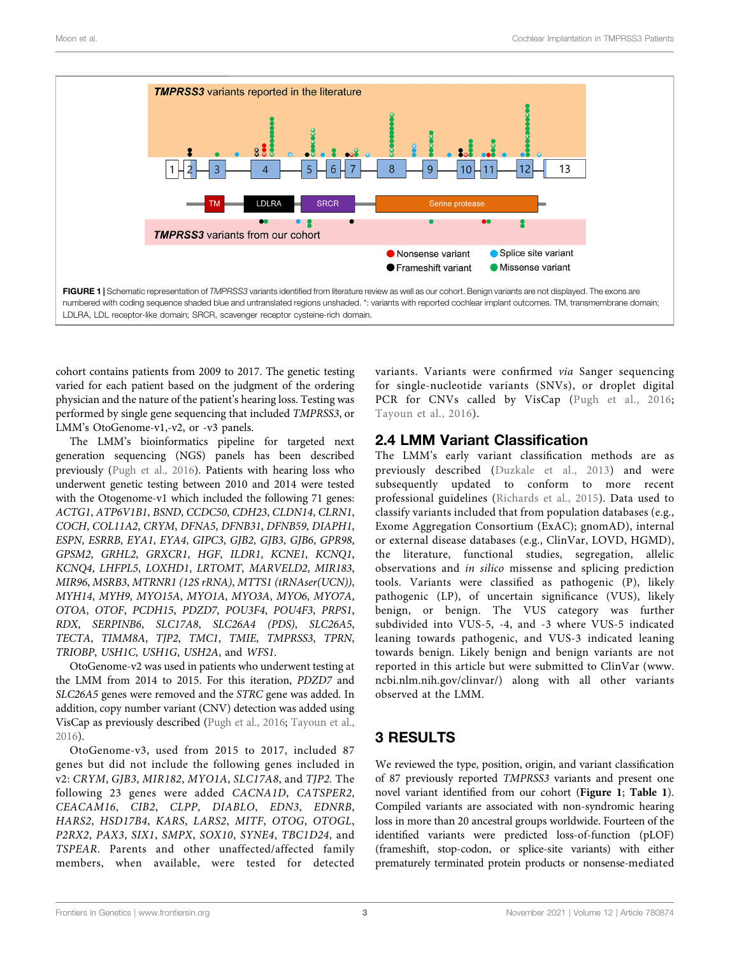

<span id="page-2-0"></span>cohort contains patients from 2009 to 2017. The genetic testing varied for each patient based on the judgment of the ordering physician and the nature of the patient's hearing loss. Testing was performed by single gene sequencing that included TMPRSS3, or LMM's OtoGenome-v1,-v2, or -v3 panels.

The LMM's bioinformatics pipeline for targeted next generation sequencing (NGS) panels has been described previously ([Pugh et al., 2016\)](#page-12-9). Patients with hearing loss who underwent genetic testing between 2010 and 2014 were tested with the Otogenome-v1 which included the following 71 genes: ACTG1, ATP6V1B1, BSND, CCDC50, CDH23, CLDN14, CLRN1, COCH, COL11A2, CRYM, DFNA5, DFNB31, DFNB59, DIAPH1, ESPN, ESRRB, EYA1, EYA4, GIPC3, GJB2, GJB3, GJB6, GPR98, GPSM2, GRHL2, GRXCR1, HGF, ILDR1, KCNE1, KCNQ1, KCNQ4, LHFPL5, LOXHD1, LRTOMT, MARVELD2, MIR183, MIR96, MSRB3, MTRNR1 (12S rRNA), MTTS1 (tRNAser(UCN)), MYH14, MYH9, MYO15A, MYO1A, MYO3A, MYO6, MYO7A, OTOA, OTOF, PCDH15, PDZD7, POU3F4, POU4F3, PRPS1, RDX, SERPINB6, SLC17A8, SLC26A4 (PDS), SLC26A5, TECTA, TIMM8A, TJP2, TMC1, TMIE, TMPRSS3, TPRN, TRIOBP, USH1C, USH1G, USH2A, and WFS1.

OtoGenome-v2 was used in patients who underwent testing at the LMM from 2014 to 2015. For this iteration, PDZD7 and SLC26A5 genes were removed and the STRC gene was added. In addition, copy number variant (CNV) detection was added using VisCap as previously described [\(Pugh et al., 2016;](#page-12-9) [Tayoun et al.,](#page-13-5) [2016](#page-13-5)).

OtoGenome-v3, used from 2015 to 2017, included 87 genes but did not include the following genes included in v2: CRYM, GJB3, MIR182, MYO1A, SLC17A8, and TJP2. The following 23 genes were added CACNA1D, CATSPER2, CEACAM16, CIB2, CLPP, DIABLO, EDN3, EDNRB, HARS2, HSD17B4, KARS, LARS2, MITF, OTOG, OTOGL, P2RX2, PAX3, SIX1, SMPX, SOX10, SYNE4, TBC1D24, and TSPEAR. Parents and other unaffected/affected family members, when available, were tested for detected

variants. Variants were confirmed via Sanger sequencing for single-nucleotide variants (SNVs), or droplet digital PCR for CNVs called by VisCap ([Pugh et al., 2016;](#page-12-9) [Tayoun et al., 2016](#page-13-5)).

## 2.4 LMM Variant Classification

The LMM's early variant classification methods are as previously described ([Duzkale et al., 2013](#page-12-10)) and were subsequently updated to conform to more recent professional guidelines ([Richards et al., 2015](#page-12-11)). Data used to classify variants included that from population databases (e.g., Exome Aggregation Consortium (ExAC); gnomAD), internal or external disease databases (e.g., ClinVar, LOVD, HGMD), the literature, functional studies, segregation, allelic observations and in silico missense and splicing prediction tools. Variants were classified as pathogenic (P), likely pathogenic (LP), of uncertain significance (VUS), likely benign, or benign. The VUS category was further subdivided into VUS-5, -4, and -3 where VUS-5 indicated leaning towards pathogenic, and VUS-3 indicated leaning towards benign. Likely benign and benign variants are not reported in this article but were submitted to ClinVar ([www.](http://www.ncbi.nlm.nih.gov/clinvar/) [ncbi.nlm.nih.gov/clinvar/\)](http://www.ncbi.nlm.nih.gov/clinvar/) along with all other variants observed at the LMM.

# 3 RESULTS

We reviewed the type, position, origin, and variant classification of 87 previously reported TMPRSS3 variants and present one novel variant identified from our cohort ([Figure 1](#page-2-0); [Table 1](#page-3-0)). Compiled variants are associated with non-syndromic hearing loss in more than 20 ancestral groups worldwide. Fourteen of the identified variants were predicted loss-of-function (pLOF) (frameshift, stop-codon, or splice-site variants) with either prematurely terminated protein products or nonsense-mediated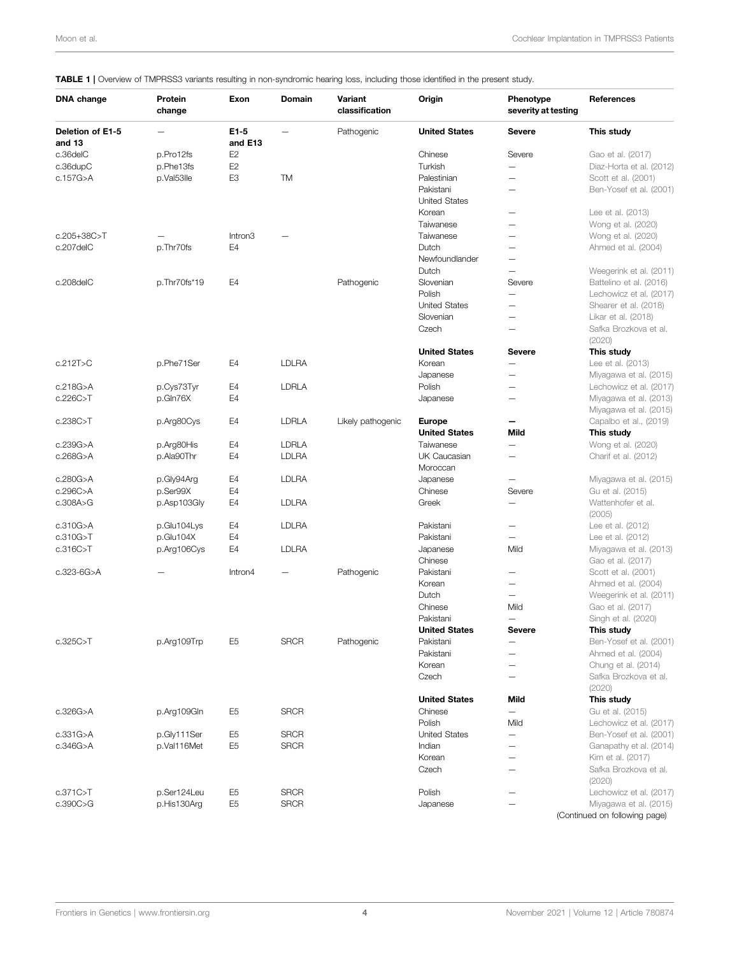### <span id="page-3-0"></span>TABLE 1 | Overview of TMPRSS3 variants resulting in non-syndromic hearing loss, including those identified in the present study.

| <b>DNA</b> change          | Protein<br>change | Exon                | Domain       | Variant<br>classification | Origin               | Phenotype<br>severity at testing | References                    |
|----------------------------|-------------------|---------------------|--------------|---------------------------|----------------------|----------------------------------|-------------------------------|
| Deletion of E1-5<br>and 13 |                   | E1-5<br>and E13     |              | Pathogenic                | <b>United States</b> | <b>Severe</b>                    | This study                    |
| c.36delC                   | p.Pro12fs         | E <sub>2</sub>      |              |                           | Chinese              | Severe                           | Gao et al. (2017)             |
| c.36dupC                   | p.Phe13fs         | E <sub>2</sub>      |              |                           | Turkish              | $\overline{\phantom{0}}$         | Diaz-Horta et al. (2012)      |
| c.157G>A                   | p.Val53lle        | E <sub>3</sub>      | TM           |                           | Palestinian          | $\overline{\phantom{0}}$         | Scott et al. (2001)           |
|                            |                   |                     |              |                           | Pakistani            |                                  | Ben-Yosef et al. (2001)       |
|                            |                   |                     |              |                           | <b>United States</b> |                                  |                               |
|                            |                   |                     |              |                           | Korean               | -                                | Lee et al. (2013)             |
|                            |                   |                     |              |                           | Taiwanese            | —                                | Wong et al. (2020)            |
| c.205+38C>T                |                   | Intron <sub>3</sub> |              |                           | Taiwanese            | —                                | Wong et al. (2020)            |
| c.207delC                  | p.Thr70fs         | E4                  |              |                           | Dutch                | -                                | Ahmed et al. (2004)           |
|                            |                   |                     |              |                           | Newfoundlander       | —                                |                               |
|                            |                   |                     |              |                           | Dutch                | $\overline{\phantom{0}}$         | Weegerink et al. (2011)       |
| c.208delC                  | p.Thr70fs*19      | E4                  |              | Pathogenic                | Slovenian            | Severe                           | Battelino et al. (2016)       |
|                            |                   |                     |              |                           | Polish               | -                                | Lechowicz et al. (2017)       |
|                            |                   |                     |              |                           | <b>United States</b> | —                                | Shearer et al. (2018)         |
|                            |                   |                     |              |                           | Slovenian            | -                                | Likar et al. (2018)           |
|                            |                   |                     |              |                           | Czech                | <u>.</u>                         | Safka Brozkova et al.         |
|                            |                   |                     |              |                           |                      |                                  | (2020)                        |
|                            |                   |                     |              |                           | <b>United States</b> | <b>Severe</b>                    | This study                    |
| c.212T>C                   | p.Phe71Ser        | E4                  | <b>LDLRA</b> |                           | Korean               | —                                | Lee et al. (2013)             |
|                            |                   |                     |              |                           | Japanese             | —                                | Miyagawa et al. (2015)        |
| c.218G>A                   | p.Cys73Tyr        | E4                  | <b>LDRLA</b> |                           | Polish               | $\overline{\phantom{0}}$         | Lechowicz et al. (2017)       |
| c.226C > T                 | p.Gln76X          | E4                  |              |                           | Japanese             | —                                | Miyagawa et al. (2013)        |
|                            |                   |                     |              |                           |                      |                                  | Miyagawa et al. (2015)        |
| c.238C > T                 | p.Arg80Cys        | E4                  | <b>LDRLA</b> | Likely pathogenic         | <b>Europe</b>        |                                  | Capalbo et al., (2019)        |
|                            |                   |                     |              |                           | <b>United States</b> | Mild                             | This study                    |
| c.239G>A                   | p.Arg80His        | E4                  | <b>LDRLA</b> |                           | Taiwanese            | $\overline{\phantom{0}}$         | Wong et al. (2020)            |
| c.268G>A                   | p.Ala90Thr        | E4                  | <b>LDLRA</b> |                           | UK Caucasian         | $\overline{\phantom{0}}$         | Charif et al. (2012)          |
|                            |                   |                     |              |                           | Moroccan             |                                  |                               |
| c.280G>A                   | p.Gly94Arg        | E4                  | <b>LDLRA</b> |                           | Japanese             |                                  | Miyagawa et al. (2015)        |
| c.296C>A                   | p.Ser99X          | E4                  |              |                           | Chinese              | Severe                           | Gu et al. (2015)              |
| c.308A > G                 | p.Asp103Gly       | E4                  | <b>LDLRA</b> |                           | Greek                | $\qquad \qquad -$                | Wattenhofer et al.            |
|                            |                   |                     |              |                           |                      |                                  | (2005)                        |
| c.310G>A                   | p.Glu104Lys       | E4                  | <b>LDLRA</b> |                           | Pakistani            | —                                | Lee et al. (2012)             |
| c.310G > T                 | p.Glu104X         | E4                  |              |                           | Pakistani            | $\overline{\phantom{0}}$         | Lee et al. (2012)             |
| c.316C > T                 | p.Arg106Cys       | E4                  | <b>LDLRA</b> |                           | Japanese             | Mild                             | Miyagawa et al. (2013)        |
|                            |                   |                     |              |                           | Chinese              |                                  | Gao et al. (2017)             |
| c.323-6G>A                 |                   | Intron4             |              | Pathogenic                | Pakistani            | -                                | Scott et al. (2001)           |
|                            |                   |                     |              |                           | Korean               | $\overline{\phantom{0}}$         | Ahmed et al. (2004)           |
|                            |                   |                     |              |                           | Dutch                | —                                | Weegerink et al. (2011)       |
|                            |                   |                     |              |                           | Chinese              | Mild                             | Gao et al. (2017)             |
|                            |                   |                     |              |                           | Pakistani            | $\overline{\phantom{0}}$         | Singh et al. (2020)           |
|                            |                   |                     |              |                           | <b>United States</b> | <b>Severe</b>                    | This study                    |
| c.325C>T                   | p.Arg109Trp       | E <sub>5</sub>      | <b>SRCR</b>  | Pathogenic                | Pakistani            |                                  | Ben-Yosef et al. (2001)       |
|                            |                   |                     |              |                           | Pakistani            | -                                | Ahmed et al. (2004)           |
|                            |                   |                     |              |                           | Korean               | -                                | Chung et al. (2014)           |
|                            |                   |                     |              |                           | Czech                |                                  | Safka Brozkova et al.         |
|                            |                   |                     |              |                           |                      |                                  | (2020)                        |
|                            |                   |                     |              |                           | <b>United States</b> | Mild                             | This study                    |
| c.326G>A                   | p.Arg109Gln       | E <sub>5</sub>      | <b>SRCR</b>  |                           | Chinese              | $\overline{\phantom{0}}$         | Gu et al. (2015)              |
|                            |                   |                     |              |                           | Polish               | Mild                             | Lechowicz et al. (2017)       |
| c.331G > A                 | p.Gly111Ser       | E <sub>5</sub>      | <b>SRCR</b>  |                           | <b>United States</b> | —                                | Ben-Yosef et al. (2001)       |
| c.346G>A                   | p.Val116Met       | E <sub>5</sub>      | <b>SRCR</b>  |                           | Indian               | —                                | Ganapathy et al. (2014)       |
|                            |                   |                     |              |                           | Korean               | $\overline{\phantom{0}}$         | Kim et al. (2017)             |
|                            |                   |                     |              |                           | Czech                | $\overline{\phantom{0}}$         | Safka Brozkova et al.         |
|                            |                   |                     |              |                           |                      |                                  | (2020)                        |
| c.371C > T                 | p.Ser124Leu       | E <sub>5</sub>      | <b>SRCR</b>  |                           | Polish               | -                                | Lechowicz et al. (2017)       |
| c.390C > G                 | p.His130Arg       | E <sub>5</sub>      | <b>SRCR</b>  |                           | Japanese             |                                  | Miyagawa et al. (2015)        |
|                            |                   |                     |              |                           |                      |                                  | (Continued on following page) |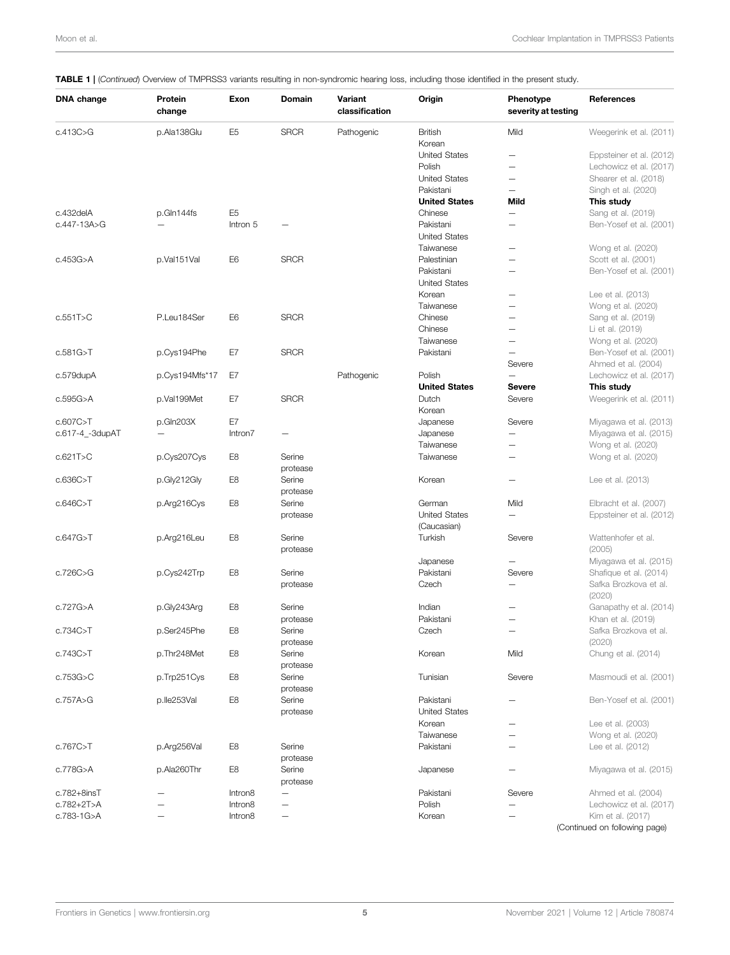#### DNA change Protein change Exon Domain Variant classification Origin Phenotype severity at testing References c.413C>G p.Ala138Glu E5 SRCR Pathogenic British Mild [Weegerink et al. \(2011\)](#page-13-4) Korean<br>United States United States — [Eppsteiner et al. \(2012\)](#page-12-24)<br>
Polish — Lechowicz et al. (2017) Polish — [Lechowicz et al. \(2017\)](#page-12-15) United States  $-$ <br> [Shearer et al. \(2018\)](#page-13-7)<br>
Pakistani [Singh et al. \(2020\)](#page-13-8)<br>This study United States Mild c.432delA p.Gln144fs E5 Chinese — [Sang et al. \(2019\)](#page-12-25) c.447-13A>G — Intron 5 — Pakistani — [Ben-Yosef et al. \(2001\)](#page-11-0) United States Taiwanese — [Wong et al. \(2020\)](#page-13-6) c.453G>A p.Val151Val E6 SRCR Palestinian — [Scott et al. \(2001\)](#page-12-13) Pakistani — [Ben-Yosef et al. \(2001\)](#page-11-0) United States Korean — [Lee et al. \(2013\)](#page-12-14) Taiwanese — [Wong et al. \(2020\)](#page-13-6) c.551T>C P.Leu184Ser E6 SRCR Chinese — [Sang et al. \(2019\)](#page-12-25) Chinese — [Li et al. \(2019\)](#page-12-26)<br>Taiwanese — Wong et al. (2019) — [Wong et al. \(2020\)](#page-13-6) c.581G>T p.Cys194Phe E7 SRCR Pakistani — [Ben-Yosef et al. \(2001\)](#page-11-0) Severe [Ahmed et al. \(2004\)](#page-11-1) c.579dupA p.Cys194Mfs\*17 E7 Pathogenic Polish — [Lechowicz et al. \(2017\)](#page-12-15) United States Severe This study c.595G>A p.Val199Met E7 SRCR Dutch Severe [Weegerink et al. \(2011\)](#page-13-4) Korean c.607C>T p.Gln203X E7 Japanese Severe [Miyagawa et al. \(2013\)](#page-12-18) **Intron7** — **Co.617-4 Co.617-4 Co.617-4 Japanese — Co.617-4 [Miyagawa et al. \(2015\)](#page-12-4)** Taiwanese — [Wong et al. \(2020\)](#page-13-6) c.621T>C p.Cys207Cys E8 Serine protease Taiwanese — <sup>—</sup> [Wong et al. \(2020\)](#page-13-6) c.636C>T p.Gly212Gly E8 Serine protease  $K$ orean  $-$  [Lee et al. \(2013\)](#page-12-14) c.646C>T p.Arg216Cys E8 Serine protease German Mild [Elbracht et al. \(2007\)](#page-12-27) United States (Caucasian) — [Eppsteiner et al. \(2012\)](#page-12-24) c.647G>T p.Arg216Leu E8 Serine protease Turkish Severe [Wattenhofer et al.](#page-13-2) [\(2005\)](#page-13-2) Japanese — [Miyagawa et al. \(2015\)](#page-12-4) c.726C>G p.Cys242Trp E8 Serine protease Pakistani Severe Shafi[que et al. \(2014\)](#page-13-9) Czech — [Safka Brozkova et al.](#page-12-17)  $(2020)$ c.727G>A p.Gly243Arg E8 Serine protease **Indian**  $-$  [Ganapathy et al. \(2014\)](#page-12-22)<br> **Pakistani**  $-$  Khan et al. (2019) [Khan et al. \(2019\)](#page-12-28) c.734C>T p.Ser245Phe E8 Serine protease Czech — [Safka Brozkova et al.](#page-12-17) [\(2020\)](#page-12-17) c.743C>T p.Thr248Met E8 Serine protease Korean Mild [Chung et al. \(2014\)](#page-12-7) c.753G>C p.Trp251Cys E8 Serine protease Tunisian Severe [Masmoudi et al. \(2001\)](#page-12-6) c.757A>G p.Ile253Val E8 Serine protease Pakistani — [Ben-Yosef et al. \(2001\)](#page-11-0) United States Korean — [Lee et al. \(2003\)](#page-12-29) **Taiwanese**  $\qquad -$  [Wong et al. \(2020\)](#page-13-6)<br> **Pakistani**  $\qquad \qquad \qquad$  Lee et al. (2012) c.767C>T p.Arg256Val E8 Serine protease [Lee et al. \(2012\)](#page-12-21) c.778G>A p.Ala260Thr E8 Serine protease Japanese — [Miyagawa et al. \(2015\)](#page-12-4) c.782+8insT — Intron8 — Pakistani Severe [Ahmed et al. \(2004\)](#page-11-1) c.782+2T>A — Intron8 — Polish — [Lechowicz et al. \(2017\)](#page-12-15) c.783-1G>A — Intron8 — Korean — [Kim et al. \(2017\)](#page-12-23) (Continued on following page)

#### TABLE 1 | (Continued) Overview of TMPRSS3 variants resulting in non-syndromic hearing loss, including those identified in the present study.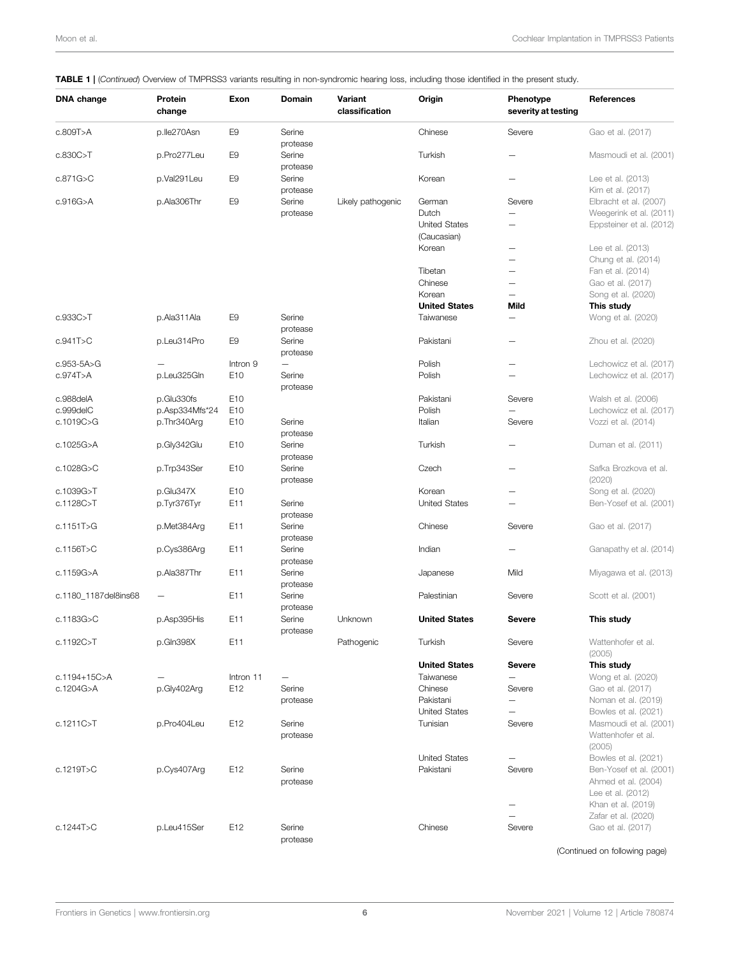| DNA change           | Protein<br>change | Exon            | Domain                   | Variant<br>classification | Origin                              | Phenotype<br>severity at testing | References                                                          |
|----------------------|-------------------|-----------------|--------------------------|---------------------------|-------------------------------------|----------------------------------|---------------------------------------------------------------------|
| c.809T>A             | p.lle270Asn       | E <sub>9</sub>  | Serine                   |                           | Chinese                             | Severe                           | Gao et al. (2017)                                                   |
| c.830C > T           | p.Pro277Leu       | E <sub>9</sub>  | protease<br>Serine       |                           | Turkish                             |                                  | Masmoudi et al. (2001)                                              |
| c.871G>C             | p.Val291Leu       | E <sub>9</sub>  | protease<br>Serine       |                           | Korean                              | $\overline{\phantom{0}}$         | Lee et al. (2013)                                                   |
| c.916G > A           | p.Ala306Thr       | E <sub>9</sub>  | protease<br>Serine       | Likely pathogenic         | German                              | Severe                           | Kim et al. (2017)<br>Elbracht et al. (2007)                         |
|                      |                   |                 | protease                 |                           | Dutch                               | ÷                                | Weegerink et al. (2011)                                             |
|                      |                   |                 |                          |                           | <b>United States</b><br>(Caucasian) | $\overline{\phantom{0}}$         | Eppsteiner et al. (2012)                                            |
|                      |                   |                 |                          |                           | Korean                              | —                                | Lee et al. (2013)                                                   |
|                      |                   |                 |                          |                           |                                     | -                                | Chung et al. (2014)                                                 |
|                      |                   |                 |                          |                           | Tibetan                             | —                                | Fan et al. (2014)                                                   |
|                      |                   |                 |                          |                           | Chinese                             | —                                | Gao et al. (2017)                                                   |
|                      |                   |                 |                          |                           | Korean                              | $\overline{\phantom{0}}$         | Song et al. (2020)                                                  |
|                      |                   |                 |                          |                           | <b>United States</b>                | Mild                             | This study                                                          |
| c.933C>T             | p.Ala311Ala       | E <sub>9</sub>  | Serine<br>protease       |                           | Taiwanese                           | -                                | Wong et al. (2020)                                                  |
| c.941T>C             | p.Leu314Pro       | E <sub>9</sub>  | Serine<br>protease       |                           | Pakistani                           | —                                | Zhou et al. (2020)                                                  |
| c.953-5A>G           |                   | Intron 9        | $\overline{\phantom{0}}$ |                           | Polish                              | —                                | Lechowicz et al. (2017)                                             |
| c.974T>A             | p.Leu325Gln       | E <sub>10</sub> | Serine<br>protease       |                           | Polish                              | —                                | Lechowicz et al. (2017)                                             |
| c.988delA            | p.Glu330fs        | E10             |                          |                           | Pakistani                           | Severe                           | Walsh et al. (2006)                                                 |
| c.999delC            | p.Asp334Mfs*24    | E10             |                          |                           | Polish                              |                                  | Lechowicz et al. (2017)                                             |
| c.1019C>G            | p.Thr340Arg       | E10             | Serine<br>protease       |                           | Italian                             | Severe                           | Vozzi et al. (2014)                                                 |
| c.1025G>A            | p.Gly342Glu       | E10             | Serine<br>protease       |                           | Turkish                             | -                                | Duman et al. (2011)                                                 |
| c.1028G>C            | p.Trp343Ser       | E10             | Serine<br>protease       |                           | Czech                               | -                                | Safka Brozkova et al.<br>(2020)                                     |
| c.1039G>T            | p.Glu347X         | E10             |                          |                           | Korean                              | -                                | Song et al. (2020)                                                  |
| c.1128C>T            | p.Tyr376Tyr       | E11             | Serine<br>protease       |                           | <b>United States</b>                | $\overline{\phantom{0}}$         | Ben-Yosef et al. (2001)                                             |
| c.1151T>G            | p.Met384Arg       | E11             | Serine<br>protease       |                           | Chinese                             | Severe                           | Gao et al. (2017)                                                   |
| c.1156T>C            | p.Cys386Arg       | E11             | Serine<br>protease       |                           | Indian                              |                                  | Ganapathy et al. (2014)                                             |
| c.1159G>A            | p.Ala387Thr       | E11             | Serine<br>protease       |                           | Japanese                            | Mild                             | Miyagawa et al. (2013)                                              |
| c.1180 1187del8ins68 |                   | E11             | Serine<br>protease       |                           | Palestinian                         | Severe                           | Scott et al. (2001)                                                 |
| c.1183G>C            | p.Asp395His       | E11             | Serine<br>protease       | Unknown                   | <b>United States</b>                | <b>Severe</b>                    | This study                                                          |
| c.1192C>T            | p.Gln398X         | E11             |                          | Pathogenic                | Turkish                             | Severe                           | Wattenhofer et al.<br>(2005)                                        |
|                      |                   |                 |                          |                           | <b>United States</b>                | <b>Severe</b>                    | This study                                                          |
| c.1194+15C>A         |                   | Intron 11       |                          |                           | Taiwanese                           | $\qquad \qquad -$                | Wong et al. (2020)                                                  |
| c.1204G>A            | p.Gly402Arg       | E12             | Serine                   |                           | Chinese                             | Severe                           | Gao et al. (2017)                                                   |
|                      |                   |                 | protease                 |                           | Pakistani                           | -                                | Noman et al. (2019)                                                 |
|                      |                   |                 |                          |                           | <b>United States</b>                | —                                | Bowles et al. (2021)                                                |
| c.1211C > T          | p.Pro404Leu       | E12             | Serine<br>protease       |                           | Tunisian                            | Severe                           | Masmoudi et al. (2001)<br>Wattenhofer et al.<br>(2005)              |
|                      |                   |                 |                          |                           | <b>United States</b>                |                                  | Bowles et al. (2021)                                                |
| c.1219T>C            | p.Cys407Arg       | E12             | Serine<br>protease       |                           | Pakistani                           | Severe                           | Ben-Yosef et al. (2001)<br>Ahmed et al. (2004)<br>Lee et al. (2012) |
|                      |                   |                 |                          |                           |                                     |                                  | Khan et al. (2019)                                                  |
|                      |                   |                 |                          |                           |                                     |                                  | Zafar et al. (2020)                                                 |
| c.1244T>C            | p.Leu415Ser       | E12             | Serine<br>protease       |                           | Chinese                             | Severe                           | Gao et al. (2017)                                                   |

### **TABLE 1 |** (Continued) Overview of TMPRSS3 variants resulting in non-syndromic hearing loss, including those identified in the present study.

(Continued on following page)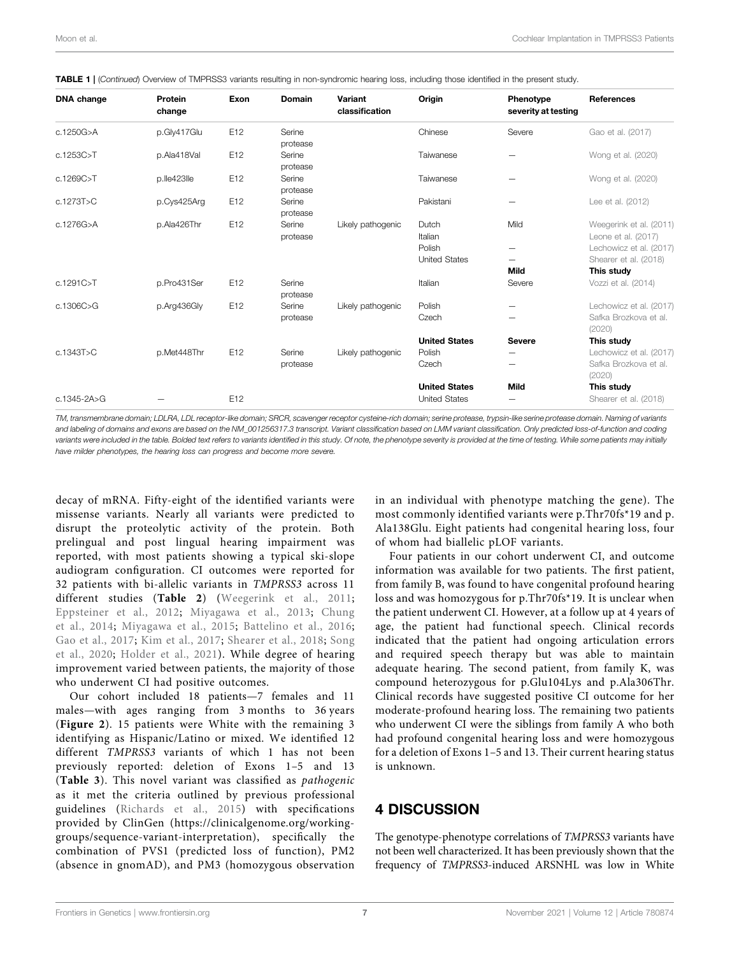| <b>DNA</b> change | Protein<br>change | Exon | <b>Domain</b>      | Variant<br>classification | Origin                                       | Phenotype<br>severity at testing                     | <b>References</b>                                              |
|-------------------|-------------------|------|--------------------|---------------------------|----------------------------------------------|------------------------------------------------------|----------------------------------------------------------------|
| c.1250G>A         | p.Gly417Glu       | E12  | Serine<br>protease |                           | Chinese                                      | Severe                                               | Gao et al. (2017)                                              |
| c.1253C > T       | p.Ala418Val       | E12  | Serine<br>protease |                           | Taiwanese                                    |                                                      | Wong et al. (2020)                                             |
| c.1269C>T         | p.lle423lle       | E12  | Serine<br>protease |                           | Taiwanese                                    | $\overline{\phantom{0}}$                             | Wong et al. (2020)                                             |
| c.1273T>C         | p.Cys425Arg       | E12  | Serine<br>protease |                           | Pakistani                                    | -                                                    | Lee et al. (2012)                                              |
| c.1276G>A         | p.Ala426Thr       | E12  | Serine<br>protease | Likely pathogenic         | Dutch<br>Italian                             | Mild                                                 | Weegerink et al. (2011)<br>Leone et al. (2017)                 |
|                   |                   |      |                    |                           | Polish<br><b>United States</b>               | $\overline{\phantom{0}}$<br>$\overline{\phantom{0}}$ | Lechowicz et al. (2017)<br>Shearer et al. (2018)               |
| c.1291C>T         | p.Pro431Ser       | E12  | Serine<br>protease |                           | Italian                                      | Mild<br>Severe                                       | This study<br>Vozzi et al. (2014)                              |
| c.1306C>G         | p.Arg436Gly       | E12  | Serine<br>protease | Likely pathogenic         | Polish<br>Czech                              |                                                      | Lechowicz et al. (2017)<br>Safka Brozkova et al.<br>(2020)     |
| c.1343T > C       | p.Met448Thr       | E12  | Serine<br>protease | Likely pathogenic         | <b>United States</b><br>Polish<br>Czech      | <b>Severe</b><br>$\overline{\phantom{0}}$            | This study<br>Lechowicz et al. (2017)<br>Safka Brozkova et al. |
| $c.1345 - 2A > G$ |                   | E12  |                    |                           | <b>United States</b><br><b>United States</b> | Mild                                                 | (2020)<br>This study<br>Shearer et al. (2018)                  |

#### TABLE 1 | (Continued) Overview of TMPRSS3 variants resulting in non-syndromic hearing loss, including those identified in the present study.

TM, transmembrane domain; LDLRA, LDL receptor-like domain; SRCR, scavenger receptor cysteine-rich domain; serine protease, trypsin-like serine protease domain. Naming of variants and labeling of domains and exons are based on the NM\_001256317.3 transcript. Variant classification based on LMM variant classification. Only predicted loss-of-function and coding variants were included in the table. Bolded text refers to variants identified in this study. Of note, the phenotype severity is provided at the time of testing. While some patients may initially have milder phenotypes, the hearing loss can progress and become more severe.

decay of mRNA. Fifty-eight of the identified variants were missense variants. Nearly all variants were predicted to disrupt the proteolytic activity of the protein. Both prelingual and post lingual hearing impairment was reported, with most patients showing a typical ski-slope audiogram configuration. CI outcomes were reported for 32 patients with bi-allelic variants in TMPRSS3 across 11 different studies ([Table 2](#page-7-0)) ([Weegerink et al., 2011](#page-13-4); [Eppsteiner et al., 2012](#page-12-24); [Miyagawa et al., 2013;](#page-12-18) [Chung](#page-12-7) [et al., 2014;](#page-12-7) [Miyagawa et al., 2015;](#page-12-4) [Battelino et al., 2016](#page-11-2); [Gao et al., 2017;](#page-12-5) [Kim et al., 2017](#page-12-23); [Shearer et al., 2018](#page-13-7); [Song](#page-13-10) [et al., 2020](#page-13-10); [Holder et al., 2021\)](#page-12-33). While degree of hearing improvement varied between patients, the majority of those who underwent CI had positive outcomes.

Our cohort included 18 patients—7 females and 11 males—with ages ranging from 3 months to 36 years ([Figure 2](#page-10-0)). 15 patients were White with the remaining 3 identifying as Hispanic/Latino or mixed. We identified 12 different TMPRSS3 variants of which 1 has not been previously reported: deletion of Exons 1–5 and 13 ([Table 3](#page-10-1)). This novel variant was classified as pathogenic as it met the criteria outlined by previous professional guidelines ([Richards et al., 2015](#page-12-11)) with specifications provided by ClinGen ([https://clinicalgenome.org/working](https://clinicalgenome.org/working-groups/sequence-variant-interpretation)[groups/sequence-variant-interpretation\)](https://clinicalgenome.org/working-groups/sequence-variant-interpretation), specifically the combination of PVS1 (predicted loss of function), PM2 (absence in gnomAD), and PM3 (homozygous observation

in an individual with phenotype matching the gene). The most commonly identified variants were p.Thr70fs\*19 and p. Ala138Glu. Eight patients had congenital hearing loss, four of whom had biallelic pLOF variants.

Four patients in our cohort underwent CI, and outcome information was available for two patients. The first patient, from family B, was found to have congenital profound hearing loss and was homozygous for p.Thr70fs\*19. It is unclear when the patient underwent CI. However, at a follow up at 4 years of age, the patient had functional speech. Clinical records indicated that the patient had ongoing articulation errors and required speech therapy but was able to maintain adequate hearing. The second patient, from family K, was compound heterozygous for p.Glu104Lys and p.Ala306Thr. Clinical records have suggested positive CI outcome for her moderate-profound hearing loss. The remaining two patients who underwent CI were the siblings from family A who both had profound congenital hearing loss and were homozygous for a deletion of Exons 1–5 and 13. Their current hearing status is unknown.

# 4 DISCUSSION

The genotype-phenotype correlations of TMPRSS3 variants have not been well characterized. It has been previously shown that the frequency of TMPRSS3-induced ARSNHL was low in White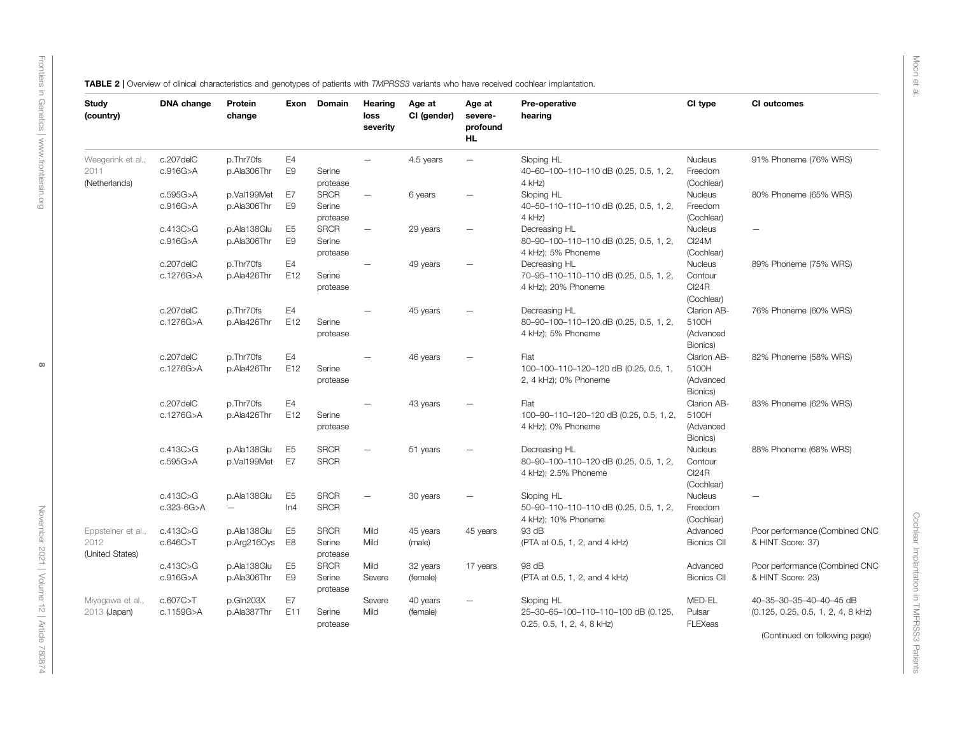Moon et al.

[Frontiers in Genetics](https://www.frontiersin.org/journals/genetics) |<www.frontiersin.org>

Frontiers in Genetics | www.frontiersin.org

 $\infty$ 

<span id="page-7-0"></span>

| TABLE 2   Overview of clinical characteristics and genotypes of patients with TMPRSS3 variants who have received cochlear implantation. |  |  |
|-----------------------------------------------------------------------------------------------------------------------------------------|--|--|
|-----------------------------------------------------------------------------------------------------------------------------------------|--|--|

| Study<br>(country)                            | DNA change              | Protein<br>change                       | Exon                             | Domain                            | Hearing<br>loss   | Age at<br>CI (gender) | Age at<br>severe-        | Pre-operative<br>hearing                                                        | CI type                                          | CI outcomes                                                                                                       |
|-----------------------------------------------|-------------------------|-----------------------------------------|----------------------------------|-----------------------------------|-------------------|-----------------------|--------------------------|---------------------------------------------------------------------------------|--------------------------------------------------|-------------------------------------------------------------------------------------------------------------------|
|                                               |                         |                                         |                                  |                                   | severity          |                       | profound<br><b>HL</b>    |                                                                                 |                                                  |                                                                                                                   |
| Weegerink et al.,<br>2011<br>(Netherlands)    | c.207delC<br>c.916G>A   | p.Thr70fs<br>p.Ala306Thr                | E4<br>E <sub>9</sub>             | Serine<br>protease                | $\equiv$          | 4.5 years             | $\overline{\phantom{m}}$ | Sloping HL<br>40-60-100-110-110 dB (0.25, 0.5, 1, 2,<br>4 kHz)                  | Nucleus<br>Freedom<br>(Cochlear)                 | 91% Phoneme (76% WRS)                                                                                             |
|                                               | c.595G>A<br>c.916G>A    | p.Val199Met<br>p.Ala306Thr              | E7<br>E <sub>9</sub>             | <b>SRCR</b><br>Serine<br>protease |                   | 6 years               |                          | Sloping HL<br>40-50-110-110-110 dB (0.25, 0.5, 1, 2,<br>4 kHz)                  | Nucleus<br>Freedom<br>(Cochlear)                 | 80% Phoneme (65% WRS)                                                                                             |
|                                               | c.413C>G<br>c.916G>A    | p.Ala138Glu<br>p.Ala306Thr              | E <sub>5</sub><br>E <sub>9</sub> | <b>SRCR</b><br>Serine<br>protease | $\qquad \qquad -$ | 29 years              | $\overline{\phantom{0}}$ | Decreasing HL<br>80-90-100-110-110 dB (0.25, 0.5, 1, 2,<br>4 kHz); 5% Phoneme   | Nucleus<br><b>CI24M</b><br>(Cochlear)            |                                                                                                                   |
|                                               | c.207delC<br>c.1276G>A  | p.Thr70fs<br>p.Ala426Thr                | E4<br>E12                        | Serine<br>protease                |                   | 49 years              |                          | Decreasing HL<br>70-95-110-110-110 dB (0.25, 0.5, 1, 2,<br>4 kHz); 20% Phoneme  | Nucleus<br>Contour<br><b>Cl24R</b><br>(Cochlear) | 89% Phoneme (75% WRS)                                                                                             |
|                                               | c.207delC<br>c.1276G>A  | p.Thr70fs<br>p.Ala426Thr                | E4<br>E12                        | Serine<br>protease                |                   | 45 years              |                          | Decreasing HL<br>80-90-100-110-120 dB (0.25, 0.5, 1, 2,<br>4 kHz); 5% Phoneme   | Clarion AB-<br>5100H<br>(Advanced<br>Bionics)    | 76% Phoneme (60% WRS)                                                                                             |
|                                               | c.207delC<br>c.1276G>A  | p.Thr70fs<br>p.Ala426Thr                | E4<br>E12                        | Serine<br>protease                |                   | 46 years              |                          | Flat<br>100-100-110-120-120 dB (0.25, 0.5, 1,<br>2, 4 kHz); 0% Phoneme          | Clarion AB-<br>5100H<br>(Advanced<br>Bionics)    | 82% Phoneme (58% WRS)                                                                                             |
|                                               | c.207delC<br>c.1276G>A  | p.Thr70fs<br>p.Ala426Thr                | E4<br>E12                        | Serine<br>protease                |                   | 43 years              |                          | Flat<br>100-90-110-120-120 dB (0.25, 0.5, 1, 2,<br>4 kHz); 0% Phoneme           | Clarion AB-<br>5100H<br>(Advanced<br>Bionics)    | 83% Phoneme (62% WRS)                                                                                             |
|                                               | c.413C > G<br>c.595G>A  | p.Ala138Glu<br>p.Val199Met              | E <sub>5</sub><br>E7             | <b>SRCR</b><br><b>SRCR</b>        |                   | 51 years              |                          | Decreasing HL<br>80-90-100-110-120 dB (0.25, 0.5, 1, 2,<br>4 kHz); 2.5% Phoneme | Nucleus<br>Contour<br><b>Cl24R</b><br>(Cochlear) | 88% Phoneme (68% WRS)                                                                                             |
|                                               | c.413C>G<br>c.323-6G>A  | p.Ala138Glu<br>$\overline{\phantom{0}}$ | E <sub>5</sub><br>ln4            | <b>SRCR</b><br><b>SRCR</b>        |                   | 30 years              |                          | Sloping HL<br>50-90-110-110-110 dB (0.25, 0.5, 1, 2,<br>4 kHz); 10% Phoneme     | Nucleus<br>Freedom<br>(Cochlear)                 |                                                                                                                   |
| Eppsteiner et al.,<br>2012<br>(United States) | c.413C>G<br>c.646C > T  | p.Ala138Glu<br>p.Arg216Cys              | E <sub>5</sub><br>E8             | <b>SRCR</b><br>Serine<br>protease | Mild<br>Mild      | 45 years<br>(male)    | 45 years                 | 93 dB<br>(PTA at 0.5, 1, 2, and 4 kHz)                                          | Advanced<br><b>Bionics CII</b>                   | Poor performance (Combined CNC<br>& HINT Score: 37)                                                               |
|                                               | c.413C>G<br>c.916G>A    | p.Ala138Glu<br>p.Ala306Thr              | E <sub>5</sub><br>E <sub>9</sub> | <b>SRCR</b><br>Serine<br>protease | Mild<br>Severe    | 32 years<br>(female)  | 17 years                 | 98 dB<br>(PTA at 0.5, 1, 2, and 4 kHz)                                          | Advanced<br><b>Bionics CII</b>                   | Poor performance (Combined CNC<br>& HINT Score: 23)                                                               |
| Miyagawa et al.,<br>2013 (Japan)              | c.607C > T<br>c.1159G>A | p.Gln203X<br>p.Ala387Thr                | E7<br>E11                        | Serine<br>protease                | Severe<br>Mild    | 40 years<br>(female)  | $\overline{\phantom{0}}$ | Sloping HL<br>25-30-65-100-110-110-100 dB (0.125,<br>0.25, 0.5, 1, 2, 4, 8 kHz) | MED-EL<br>Pulsar<br>FLEXeas                      | 40-35-30-35-40-40-45 dB<br>(0.125, 0.25, 0.5, 1, 2, 4, 8 kHz)<br>$\sim$ $\sim$ $\sim$ $\sim$ $\sim$ $\sim$ $\sim$ |

(Continued on following page)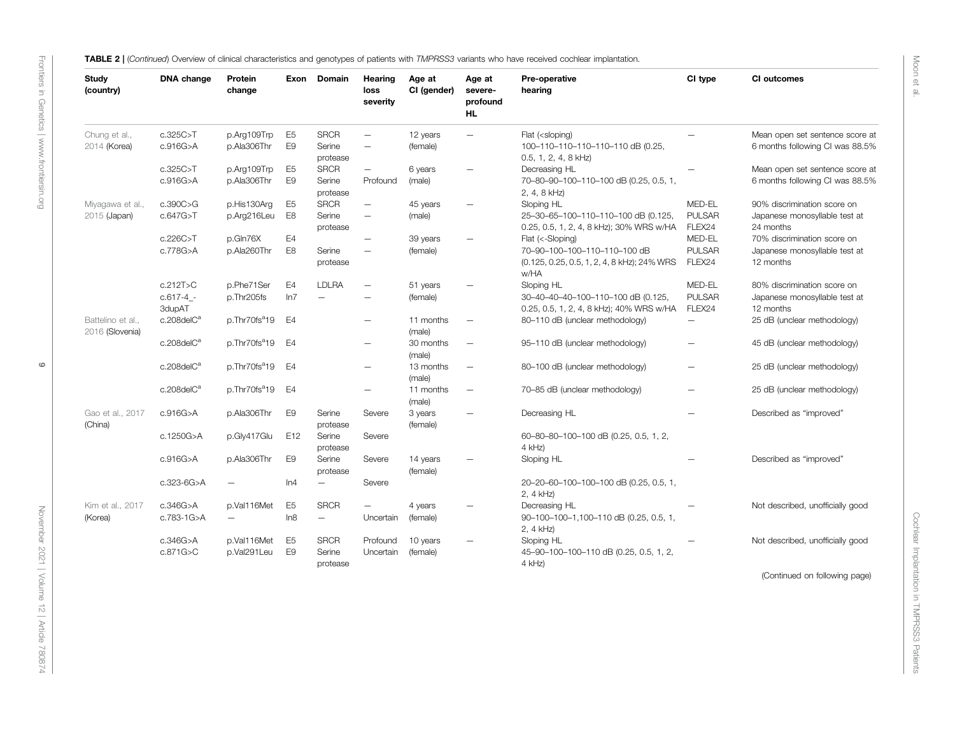TABLE 2 | (Continued) Overview of clinical characteristics and genotypes of patients with TMPRSS3 variants who have received cochlear implantation.

| Study<br>(country)                 | DNA change                        | Protein<br>change                       | Exon                             | Domain                                   | Hearing<br>loss<br>severity                          | Age at<br>CI (gender) | Age at<br>severe-<br>profound<br><b>HL</b> | Pre-operative<br>hearing                                                                                | CI type                           | CI outcomes                                                               |
|------------------------------------|-----------------------------------|-----------------------------------------|----------------------------------|------------------------------------------|------------------------------------------------------|-----------------------|--------------------------------------------|---------------------------------------------------------------------------------------------------------|-----------------------------------|---------------------------------------------------------------------------|
| Chung et al.,<br>2014 (Korea)      | c.325C>T<br>c.916G > A            | p.Arg109Trp<br>p.Ala306Thr              | E <sub>5</sub><br>E <sub>9</sub> | <b>SRCR</b><br>Serine<br>protease        | $\overline{\phantom{m}}$<br>$\overline{\phantom{m}}$ | 12 years<br>(female)  | $\overline{\phantom{m}}$                   | Flat ( <sloping)<br>100-110-110-110-110-110 dB (0.25,<br/>0.5, 1, 2, 4, 8 kHz)</sloping)<br>            |                                   | Mean open set sentence score at<br>6 months following CI was 88.5%        |
|                                    | c.325C>T<br>c.916G>A              | p.Arg109Trp<br>p.Ala306Thr              | E <sub>5</sub><br>E <sub>9</sub> | <b>SRCR</b><br>Serine<br>protease        | $\overline{\phantom{m}}$<br>Profound                 | 6 years<br>(male)     | $\overline{\phantom{m}}$                   | Decreasing HL<br>70-80-90-100-110-100 dB (0.25, 0.5, 1,<br>2, 4, 8 kHz)                                 |                                   | Mean open set sentence score at<br>6 months following CI was 88.5%        |
| Miyagawa et al.,<br>2015 (Japan)   | c.390C>G<br>c.647G>T              | p.His130Arg<br>p.Arg216Leu              | E <sub>5</sub><br>E <sub>8</sub> | <b>SRCR</b><br>Serine<br>protease        | $\overline{\phantom{m}}$<br>$\overline{\phantom{m}}$ | 45 years<br>(male)    |                                            | Sloping HL<br>25-30-65-100-110-110-100 dB (0.125,<br>0.25, 0.5, 1, 2, 4, 8 kHz); 30% WRS w/HA           | MFD-FL<br><b>PULSAR</b><br>FLEX24 | 90% discrimination score on<br>Japanese monosyllable test at<br>24 months |
|                                    | c.226C > T<br>c.778G>A            | p.Gln76X<br>p.Ala260Thr                 | E <sub>4</sub><br>E <sub>8</sub> | Serine<br>protease                       | $\overline{\phantom{0}}$<br>$\overline{\phantom{m}}$ | 39 years<br>(female)  | $\overline{\phantom{a}}$                   | Flat (<-Sloping)<br>70-90-100-100-110-110-100 dB<br>(0.125, 0.25, 0.5, 1, 2, 4, 8 kHz); 24% WRS<br>w/HA | MED-EL<br><b>PULSAR</b><br>FLEX24 | 70% discrimination score on<br>Japanese monosyllable test at<br>12 months |
|                                    | c.212T>C<br>$c.617-4 -$<br>3dupAT | p.Phe71Ser<br>p.Thr205fs                | E4<br>ln7                        | <b>LDLRA</b><br>$\overline{\phantom{0}}$ | $\overline{\phantom{0}}$                             | 51 years<br>(female)  | $\overline{\phantom{0}}$                   | Sloping HL<br>30-40-40-40-100-110-100 dB (0.125,<br>0.25, 0.5, 1, 2, 4, 8 kHz); 40% WRS w/HA            | MED-EL<br><b>PULSAR</b><br>FLEX24 | 80% discrimination score on<br>Japanese monosyllable test at<br>12 months |
| Battelino et al<br>2016 (Slovenia) | c.208delC <sup>a</sup>            | p.Thr70fs <sup>a</sup> 19               | E <sub>4</sub>                   |                                          | $\overline{\phantom{0}}$                             | 11 months<br>(male)   |                                            | 80-110 dB (unclear methodology)                                                                         | $\overline{\phantom{0}}$          | 25 dB (unclear methodology)                                               |
|                                    | c.208delC <sup>a</sup>            | p.Thr70fs <sup>a</sup> 19               | E4                               |                                          | $\overline{\phantom{0}}$                             | 30 months<br>(male)   | $\overline{\phantom{0}}$                   | 95-110 dB (unclear methodology)                                                                         | $\overline{\phantom{0}}$          | 45 dB (unclear methodology)                                               |
|                                    | $c.208$ del $Ca$                  | p.Thr70fs <sup>a</sup> 19               | E <sub>4</sub>                   |                                          | $\equiv$                                             | 13 months<br>(male)   | $\overline{\phantom{0}}$                   | 80-100 dB (unclear methodology)                                                                         | $=$                               | 25 dB (unclear methodology)                                               |
|                                    | c.208delC <sup>a</sup>            | p.Thr70fs <sup>a</sup> 19               | E <sub>4</sub>                   |                                          | $\overline{\phantom{0}}$                             | 11 months<br>(male)   | $\overline{\phantom{0}}$                   | 70-85 dB (unclear methodology)                                                                          |                                   | 25 dB (unclear methodology)                                               |
| Gao et al., 2017<br>(China)        | c.916G > A                        | p.Ala306Thr                             | E <sub>9</sub>                   | Serine<br>protease                       | Severe                                               | 3 years<br>(female)   |                                            | Decreasing HL                                                                                           |                                   | Described as "improved"                                                   |
|                                    | c.1250G>A                         | p.Gly417Glu                             | E12                              | Serine<br>protease                       | Severe                                               |                       |                                            | 60-80-80-100-100 dB (0.25, 0.5, 1, 2,<br>4 kHz)                                                         |                                   |                                                                           |
|                                    | c.916G>A                          | p.Ala306Thr                             | E <sub>9</sub>                   | Serine<br>protease                       | Severe                                               | 14 years<br>(female)  |                                            | Sloping HL                                                                                              |                                   | Described as "improved"                                                   |
|                                    | c.323-6G>A                        | $\overline{\phantom{0}}$                | ln4                              | $\overline{\phantom{0}}$                 | Severe                                               |                       |                                            | 20-20-60-100-100-100 dB (0.25, 0.5, 1,<br>2, 4 kHz)                                                     |                                   |                                                                           |
| Kim et al., 2017<br>(Korea)        | c.346G>A<br>c.783-1G>A            | p.Val116Met<br>$\overline{\phantom{0}}$ | E <sub>5</sub><br>In8            | <b>SRCR</b><br>$\overline{\phantom{0}}$  | $\overline{\phantom{0}}$<br>Uncertain                | 4 years<br>(female)   | $\overline{\phantom{0}}$                   | Decreasing HL<br>90-100-100-1,100-110 dB (0.25, 0.5, 1,<br>2, 4 kHz)                                    |                                   | Not described, unofficially good                                          |
|                                    | c.346G>A<br>c.871G > C            | p.Val116Met<br>p.Val291Leu              | E <sub>5</sub><br>F <sub>9</sub> | <b>SRCR</b><br>Serine<br>protease        | Profound<br>Uncertain                                | 10 years<br>(female)  | $\overline{\phantom{0}}$                   | Sloping HL<br>45-90-100-100-110 dB (0.25, 0.5, 1, 2,<br>4 kHz)                                          |                                   | Not described, unofficially good                                          |

Cochlear Implantation in TMPRSS3 Patients

Cochlear Implantation in TMPRSS3 Patients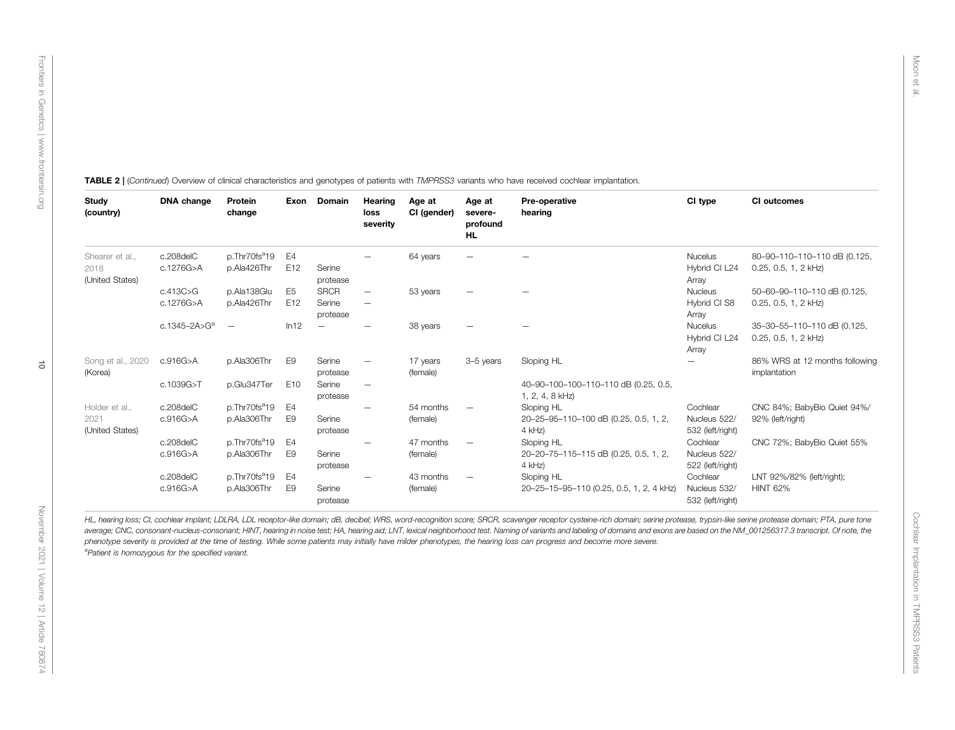| <b>Study</b><br>(country)    | DNA change               | Protein<br>change         | Exon            | <b>Domain</b>      | Hearing<br>loss<br>severity | Age at<br>CI (gender) | Age at<br>severe-<br>profound<br>HL | Pre-operative<br>hearing                                | CI type                                  | CI outcomes                                           |
|------------------------------|--------------------------|---------------------------|-----------------|--------------------|-----------------------------|-----------------------|-------------------------------------|---------------------------------------------------------|------------------------------------------|-------------------------------------------------------|
| Shearer et al                | c.208delC                | p.Thr70fs <sup>a</sup> 19 | E4              |                    |                             | 64 years              |                                     |                                                         | <b>Nucelus</b>                           | 80-90-110-110-110 dB (0.125,                          |
| 2018<br>(United States)      | c.1276G>A                | p.Ala426Thr               | E <sub>12</sub> | Serine<br>protease |                             |                       |                                     |                                                         | Hybrid CI L24<br>Array                   | $0.25, 0.5, 1, 2$ kHz)                                |
|                              | c.413C > G               | p.Ala138Glu               | E <sub>5</sub>  | <b>SRCR</b>        | $\qquad \qquad -$           | 53 years              |                                     |                                                         | Nucleus                                  | 50-60-90-110-110 dB (0.125,                           |
|                              | c.1276G>A                | p.Ala426Thr               | E12             | Serine<br>protease | $\qquad \qquad -$           |                       |                                     |                                                         | Hybrid CI S8<br>Array                    | $0.25, 0.5, 1, 2$ kHz)                                |
|                              | c.1345-2A>G <sup>a</sup> | $\overline{\phantom{0}}$  | ln12            |                    |                             | 38 years              |                                     |                                                         | <b>Nucelus</b><br>Hybrid CI L24<br>Array | 35-30-55-110-110 dB (0.125,<br>$0.25, 0.5, 1, 2$ kHz) |
| Song et al., 2020<br>(Korea) | c.916G>A                 | p.Ala306Thr               | E <sub>9</sub>  | Serine<br>protease |                             | 17 years<br>(female)  | 3-5 years                           | Sloping HL                                              | —                                        | 86% WRS at 12 months following<br>implantation        |
|                              | c.1039G>T                | p.Glu347Ter               | E <sub>10</sub> | Serine<br>protease | $\overline{\phantom{0}}$    |                       |                                     | 40-90-100-100-110-110 dB (0.25, 0.5,<br>1, 2, 4, 8 kHz) |                                          |                                                       |
| Holder et al.,               | c.208delC                | p.Thr70fs <sup>a</sup> 19 | E4              |                    |                             | 54 months             |                                     | Sloping HL                                              | Cochlear                                 | CNC 84%; BabyBio Quiet 94%/                           |
| 2021<br>(United States)      | c.916G>A                 | p.Ala306Thr               | E9              | Serine<br>protease |                             | (female)              |                                     | 20-25-95-110-100 dB (0.25, 0.5, 1, 2,<br>$4$ kHz)       | Nucleus 522/<br>532 (left/right)         | 92% (left/right)                                      |
|                              | c.208delC                | p.Thr70fs <sup>a</sup> 19 | E4              |                    | $\overline{\phantom{0}}$    | 47 months             |                                     | Sloping HL                                              | Cochlear                                 | CNC 72%; BabyBio Quiet 55%                            |
|                              | c.916G>A                 | p.Ala306Thr               | E9              | Serine<br>protease |                             | (female)              |                                     | 20-20-75-115-115 dB (0.25, 0.5, 1, 2,<br>$4$ kHz)       | Nucleus 522/<br>522 (left/right)         |                                                       |
|                              | c.208delC                | p.Thr70fs <sup>a</sup> 19 | E4              |                    |                             | 43 months             |                                     | Sloping HL                                              | Cochlear                                 | LNT 92%/82% (left/right);                             |
|                              | c.916G > A               | p.Ala306Thr               | E9              | Serine<br>protease |                             | (female)              |                                     | 20-25-15-95-110 (0.25, 0.5, 1, 2, 4 kHz)                | Nucleus 532/<br>532 (left/right)         | <b>HINT 62%</b>                                       |

TABLE 2 | (Continued) Overview of clinical characteristics and genotypes of patients with TMPRSS3 variants who have received cochlear implantation.

HL, hearing loss; Cl, cochlear implant; LDLRA, LDL receptor-like domain; dB, decibel; WRS, word-recognition score; SRCR, scavenger receptor cysteine-rich domain; serine protease, trypsin-like serine protease domain; PTA, p average; CNC, consonant-nucleus-consonant; HINT, hearing in noise test; HA, hearing aid; LNT, lexical neighborhood test. Naming of variants and labeling of domains and exons are based on the NM\_001256317.3 transcript. Of n phenotype severity is provided at the time of testing. While some patients may initially have milder phenotypes, the hearing loss can progress and become more severe. <sup>a</sup>Patient is homozygous for the specified variant.

Cochlear Implantation in TMPRSS3 Patients

Cochlear Implantation in TMPRSS3 Patients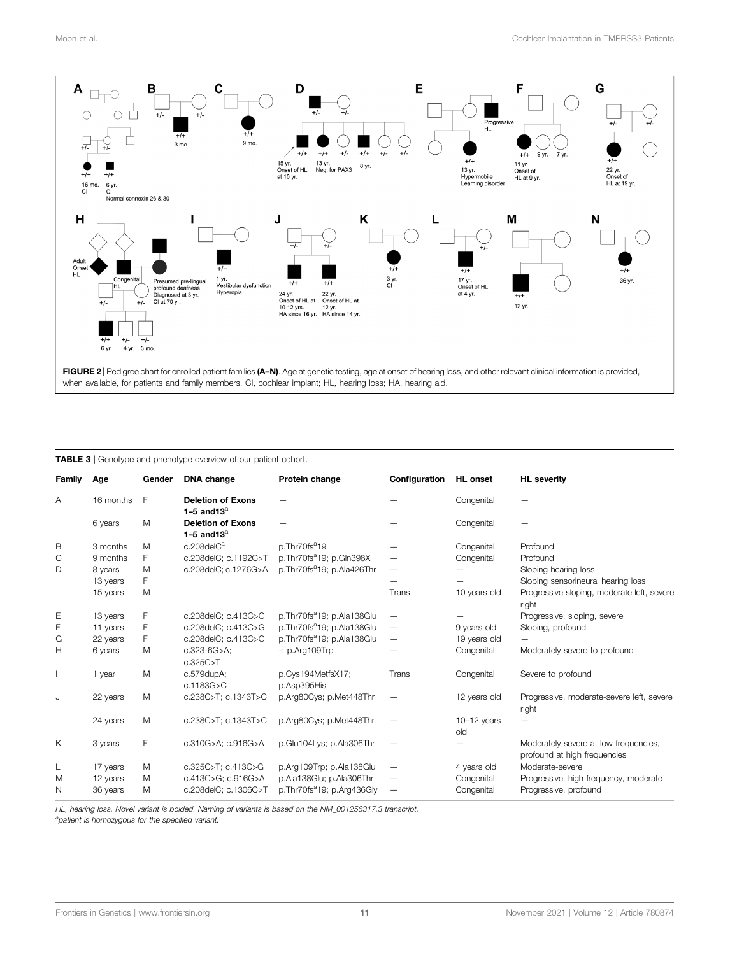

<span id="page-10-1"></span><span id="page-10-0"></span>TABLE 3 | Genotype and phenotype overview of our patient cohort.

| Family | Age       | Gender | DNA change                                 | Protein change                         | Configuration | <b>HL</b> onset      | <b>HL</b> severity                                                    |
|--------|-----------|--------|--------------------------------------------|----------------------------------------|---------------|----------------------|-----------------------------------------------------------------------|
| A      | 16 months | F      | <b>Deletion of Exons</b><br>1-5 and $13^a$ |                                        |               | Congenital           |                                                                       |
|        | 6 years   | M      | <b>Deletion of Exons</b><br>1-5 and $13^a$ |                                        |               | Congenital           |                                                                       |
| B      | 3 months  | M      | $c.208$ del $C^a$                          | p.Thr70fs <sup>a</sup> 19              |               | Congenital           | Profound                                                              |
| C      | 9 months  | F      | c.208delC; c.1192C>T                       | p.Thr70fs <sup>a</sup> 19; p.Gln398X   |               | Congenital           | Profound                                                              |
| D      | 8 years   | M      | c.208delC; c.1276G>A                       | p.Thr70fs <sup>a</sup> 19; p.Ala426Thr |               |                      | Sloping hearing loss                                                  |
|        | 13 years  | F      |                                            |                                        |               |                      | Sloping sensorineural hearing loss                                    |
|        | 15 years  | M      |                                            |                                        | Trans         | 10 years old         | Progressive sloping, moderate left, severe<br>right                   |
| Ε      | 13 years  | F      | c.208delC; c.413C>G                        | p.Thr70fs <sup>a</sup> 19; p.Ala138Glu |               |                      | Progressive, sloping, severe                                          |
| F      | 11 years  | F      | c.208delC; c.413C>G                        | p.Thr70fs <sup>a</sup> 19; p.Ala138Glu | -             | 9 years old          | Sloping, profound                                                     |
| G      | 22 years  | F      | c.208delC; c.413C>G                        | p.Thr70fs <sup>a</sup> 19; p.Ala138Glu |               | 19 years old         |                                                                       |
| Н      | 6 years   | M      | $c.323-6G > A$ ;<br>c.325C > T             | $-$ ; p.Arq109 $Trp$                   |               | Congenital           | Moderately severe to profound                                         |
|        | 1 year    | M      | c.579dupA;<br>c.1183G>C                    | p.Cys194MetfsX17;<br>p.Asp395His       | Trans         | Congenital           | Severe to profound                                                    |
| J      | 22 years  | M      | c.238C>T; c.1343T>C                        | p.Arg80Cys; p.Met448Thr                |               | 12 years old         | Progressive, moderate-severe left, severe<br>right                    |
|        | 24 years  | M      | c.238C>T; c.1343T>C                        | p.Arg80Cys; p.Met448Thr                |               | $10-12$ years<br>old |                                                                       |
| Κ      | 3 years   | F      | c.310G>A; c.916G>A                         | p.Glu104Lys; p.Ala306Thr               |               |                      | Moderately severe at low frequencies,<br>profound at high frequencies |
| L      | 17 years  | M      | c.325C>T; c.413C>G                         | p.Arq109Trp; p.Ala138Glu               |               | 4 years old          | Moderate-severe                                                       |
| M      | 12 years  | M      | c.413C>G; c.916G>A                         | p.Ala138Glu; p.Ala306Thr               |               | Congenital           | Progressive, high frequency, moderate                                 |
| N      | 36 years  | M      | c.208delC; c.1306C>T                       | p.Thr70fs <sup>a</sup> 19; p.Arq436Gly | -             | Congenital           | Progressive, profound                                                 |

HL, hearing loss. Novel variant is bolded. Naming of variants is based on the NM\_001256317.3 transcript. <sup>a</sup>patient is homozygous for the specified variant.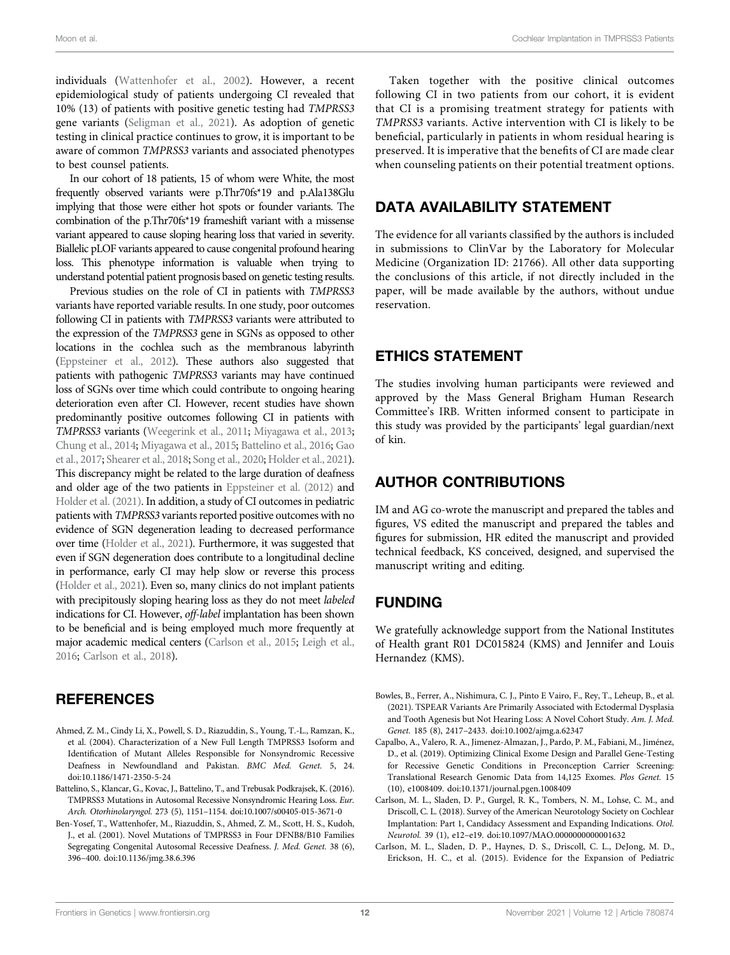<span id="page-11-5"></span>individuals ([Wattenhofer et al., 2002](#page-13-3)). However, a recent epidemiological study of patients undergoing CI revealed that 10% (13) of patients with positive genetic testing had TMPRSS3 gene variants ([Seligman et al., 2021](#page-12-8)). As adoption of genetic testing in clinical practice continues to grow, it is important to be aware of common TMPRSS3 variants and associated phenotypes to best counsel patients.

In our cohort of 18 patients, 15 of whom were White, the most frequently observed variants were p.Thr70fs\*19 and p.Ala138Glu implying that those were either hot spots or founder variants. The combination of the p.Thr70fs\*19 frameshift variant with a missense variant appeared to cause sloping hearing loss that varied in severity. Biallelic pLOF variants appeared to cause congenital profound hearing loss. This phenotype information is valuable when trying to understand potential patient prognosis based on genetic testing results.

Previous studies on the role of CI in patients with TMPRSS3 variants have reported variable results. In one study, poor outcomes following CI in patients with TMPRSS3 variants were attributed to the expression of the TMPRSS3 gene in SGNs as opposed to other locations in the cochlea such as the membranous labyrinth [\(Eppsteiner et al., 2012](#page-12-24)). These authors also suggested that patients with pathogenic TMPRSS3 variants may have continued loss of SGNs over time which could contribute to ongoing hearing deterioration even after CI. However, recent studies have shown predominantly positive outcomes following CI in patients with TMPRSS3 variants ([Weegerink et al., 2011](#page-13-4); [Miyagawa et al., 2013](#page-12-18); [Chung et al., 2014;](#page-12-7) [Miyagawa et al., 2015;](#page-12-4) [Battelino et al., 2016;](#page-11-2) [Gao](#page-12-5) [et al., 2017](#page-12-5); [Shearer et al., 2018;](#page-13-7) [Song et al., 2020;](#page-13-10) [Holder et al., 2021\)](#page-12-33). This discrepancy might be related to the large duration of deafness and older age of the two patients in [Eppsteiner et al. \(2012\)](#page-12-24) and [Holder et al. \(2021\)](#page-12-33). In addition, a study of CI outcomes in pediatric patients with TMPRSS3 variants reported positive outcomes with no evidence of SGN degeneration leading to decreased performance over time [\(Holder et al., 2021](#page-12-33)). Furthermore, it was suggested that even if SGN degeneration does contribute to a longitudinal decline in performance, early CI may help slow or reverse this process [\(Holder et al., 2021](#page-12-33)). Even so, many clinics do not implant patients with precipitously sloping hearing loss as they do not meet labeled indications for CI. However, off-label implantation has been shown to be beneficial and is being employed much more frequently at major academic medical centers [\(Carlson et al., 2015](#page-11-6); [Leigh et al.,](#page-12-42) [2016;](#page-12-42) [Carlson et al., 2018\)](#page-11-7).

# **REFERENCES**

- <span id="page-11-1"></span>Ahmed, Z. M., Cindy Li, X., Powell, S. D., Riazuddin, S., Young, T.-L., Ramzan, K., et al. (2004). Characterization of a New Full Length TMPRSS3 Isoform and Identification of Mutant Alleles Responsible for Nonsyndromic Recessive Deafness in Newfoundland and Pakistan. BMC Med. Genet. 5, 24. doi:[10.1186/1471-2350-5-24](https://doi.org/10.1186/1471-2350-5-24)
- <span id="page-11-2"></span>Battelino, S., Klancar, G., Kovac, J., Battelino, T., and Trebusak Podkrajsek, K. (2016). TMPRSS3 Mutations in Autosomal Recessive Nonsyndromic Hearing Loss. Eur. Arch. Otorhinolaryngol. 273 (5), 1151–1154. doi:[10.1007/s00405-015-3671-0](https://doi.org/10.1007/s00405-015-3671-0)
- <span id="page-11-0"></span>Ben-Yosef, T., Wattenhofer, M., Riazuddin, S., Ahmed, Z. M., Scott, H. S., Kudoh, J., et al. (2001). Novel Mutations of TMPRSS3 in Four DFNB8/B10 Families Segregating Congenital Autosomal Recessive Deafness. J. Med. Genet. 38 (6), 396–400. doi:[10.1136/jmg.38.6.396](https://doi.org/10.1136/jmg.38.6.396)

Taken together with the positive clinical outcomes following CI in two patients from our cohort, it is evident that CI is a promising treatment strategy for patients with TMPRSS3 variants. Active intervention with CI is likely to be beneficial, particularly in patients in whom residual hearing is preserved. It is imperative that the benefits of CI are made clear when counseling patients on their potential treatment options.

### DATA AVAILABILITY STATEMENT

The evidence for all variants classified by the authors is included in submissions to ClinVar by the Laboratory for Molecular Medicine (Organization ID: 21766). All other data supporting the conclusions of this article, if not directly included in the paper, will be made available by the authors, without undue reservation.

### ETHICS STATEMENT

The studies involving human participants were reviewed and approved by the Mass General Brigham Human Research Committee's IRB. Written informed consent to participate in this study was provided by the participants' legal guardian/next of kin.

### AUTHOR CONTRIBUTIONS

IM and AG co-wrote the manuscript and prepared the tables and figures, VS edited the manuscript and prepared the tables and figures for submission, HR edited the manuscript and provided technical feedback, KS conceived, designed, and supervised the manuscript writing and editing.

# FUNDING

We gratefully acknowledge support from the National Institutes of Health grant R01 DC015824 (KMS) and Jennifer and Louis Hernandez (KMS).

- <span id="page-11-4"></span>Bowles, B., Ferrer, A., Nishimura, C. J., Pinto E Vairo, F., Rey, T., Leheup, B., et al. (2021). TSPEAR Variants Are Primarily Associated with Ectodermal Dysplasia and Tooth Agenesis but Not Hearing Loss: A Novel Cohort Study. Am. J. Med. Genet. 185 (8), 2417–2433. doi[:10.1002/ajmg.a.62347](https://doi.org/10.1002/ajmg.a.62347)
- <span id="page-11-3"></span>Capalbo, A., Valero, R. A., Jimenez-Almazan, J., Pardo, P. M., Fabiani, M., Jiménez, D., et al. (2019). Optimizing Clinical Exome Design and Parallel Gene-Testing for Recessive Genetic Conditions in Preconception Carrier Screening: Translational Research Genomic Data from 14,125 Exomes. Plos Genet. 15 (10), e1008409. doi[:10.1371/journal.pgen.1008409](https://doi.org/10.1371/journal.pgen.1008409)
- <span id="page-11-7"></span>Carlson, M. L., Sladen, D. P., Gurgel, R. K., Tombers, N. M., Lohse, C. M., and Driscoll, C. L. (2018). Survey of the American Neurotology Society on Cochlear Implantation: Part 1, Candidacy Assessment and Expanding Indications. Otol. Neurotol. 39 (1), e12–e19. doi[:10.1097/MAO.0000000000001632](https://doi.org/10.1097/MAO.0000000000001632)
- <span id="page-11-6"></span>Carlson, M. L., Sladen, D. P., Haynes, D. S., Driscoll, C. L., DeJong, M. D., Erickson, H. C., et al. (2015). Evidence for the Expansion of Pediatric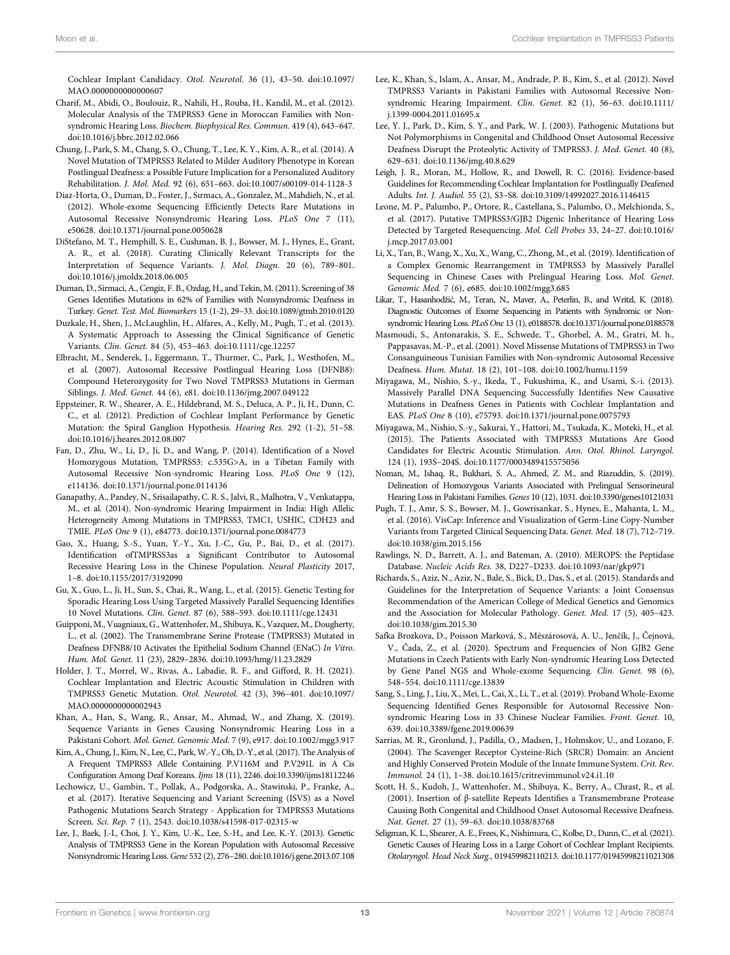<span id="page-12-40"></span>Cochlear Implant Candidacy. Otol. Neurotol. 36 (1), 43–50. doi:[10.1097/](https://doi.org/10.1097/MAO.0000000000000607) [MAO.0000000000000607](https://doi.org/10.1097/MAO.0000000000000607)

- <span id="page-12-19"></span>Charif, M., Abidi, O., Boulouiz, R., Nahili, H., Rouba, H., Kandil, M., et al. (2012). Molecular Analysis of the TMPRSS3 Gene in Moroccan Families with Nonsyndromic Hearing Loss. Biochem. Biophysical Res. Commun. 419 (4), 643–647. doi:[10.1016/j.bbrc.2012.02.066](https://doi.org/10.1016/j.bbrc.2012.02.066)
- <span id="page-12-7"></span>Chung, J., Park, S. M., Chang, S. O., Chung, T., Lee, K. Y., Kim, A. R., et al. (2014). A Novel Mutation of TMPRSS3 Related to Milder Auditory Phenotype in Korean Postlingual Deafness: a Possible Future Implication for a Personalized Auditory Rehabilitation. J. Mol. Med. 92 (6), 651–663. doi:[10.1007/s00109-014-1128-3](https://doi.org/10.1007/s00109-014-1128-3)
- <span id="page-12-12"></span>Diaz-Horta, O., Duman, D., Foster, J., Sırmacı, A., Gonzalez, M., Mahdieh, N., et al. (2012). Whole-exome Sequencing Efficiently Detects Rare Mutations in Autosomal Recessive Nonsyndromic Hearing Loss. PLoS One 7 (11), e50628. doi:[10.1371/journal.pone.0050628](https://doi.org/10.1371/journal.pone.0050628)
- <span id="page-12-3"></span>DiStefano, M. T., Hemphill, S. E., Cushman, B. J., Bowser, M. J., Hynes, E., Grant, A. R., et al. (2018). Curating Clinically Relevant Transcripts for the Interpretation of Sequence Variants. J. Mol. Diagn. 20 (6), 789–801. doi:[10.1016/j.jmoldx.2018.06.005](https://doi.org/10.1016/j.jmoldx.2018.06.005)
- <span id="page-12-31"></span>Duman, D., Sirmaci, A., Cengiz, F. B., Ozdag, H., and Tekin, M. (2011). Screening of 38 Genes Identifies Mutations in 62% of Families with Nonsyndromic Deafness in Turkey. Genet. Test. Mol. Biomarkers 15 (1-2), 29–33. doi[:10.1089/gtmb.2010.0120](https://doi.org/10.1089/gtmb.2010.0120)
- <span id="page-12-10"></span>Duzkale, H., Shen, J., McLaughlin, H., Alfares, A., Kelly, M., Pugh, T., et al. (2013). A Systematic Approach to Assessing the Clinical Significance of Genetic Variants. Clin. Genet. 84 (5), 453–463. doi[:10.1111/cge.12257](https://doi.org/10.1111/cge.12257)
- <span id="page-12-27"></span>Elbracht, M., Senderek, J., Eggermann, T., Thurmer, C., Park, J., Westhofen, M., et al. (2007). Autosomal Recessive Postlingual Hearing Loss (DFNB8): Compound Heterozygosity for Two Novel TMPRSS3 Mutations in German Siblings. J. Med. Genet. 44 (6), e81. doi[:10.1136/jmg.2007.049122](https://doi.org/10.1136/jmg.2007.049122)
- <span id="page-12-24"></span>Eppsteiner, R. W., Shearer, A. E., Hildebrand, M. S., Deluca, A. P., Ji, H., Dunn, C. C., et al. (2012). Prediction of Cochlear Implant Performance by Genetic Mutation: the Spiral Ganglion Hypothesis. Hearing Res. 292 (1-2), 51–58. doi:[10.1016/j.heares.2012.08.007](https://doi.org/10.1016/j.heares.2012.08.007)
- <span id="page-12-30"></span>Fan, D., Zhu, W., Li, D., Ji, D., and Wang, P. (2014). Identification of a Novel Homozygous Mutation, TMPRSS3: c.535G>A, in a Tibetan Family with Autosomal Recessive Non-syndromic Hearing Loss. PLoS One 9 (12), e114136. doi[:10.1371/journal.pone.0114136](https://doi.org/10.1371/journal.pone.0114136)
- <span id="page-12-22"></span>Ganapathy, A., Pandey, N., Srisailapathy, C. R. S., Jalvi, R., Malhotra, V., Venkatappa, M., et al. (2014). Non-syndromic Hearing Impairment in India: High Allelic Heterogeneity Among Mutations in TMPRSS3, TMC1, USHIC, CDH23 and TMIE. PLoS One 9 (1), e84773. doi[:10.1371/journal.pone.0084773](https://doi.org/10.1371/journal.pone.0084773)
- <span id="page-12-5"></span>Gao, X., Huang, S.-S., Yuan, Y.-Y., Xu, J.-C., Gu, P., Bai, D., et al. (2017). Identification ofTMPRSS3as a Significant Contributor to Autosomal Recessive Hearing Loss in the Chinese Population. Neural Plasticity 2017, 1–8. doi:[10.1155/2017/3192090](https://doi.org/10.1155/2017/3192090)
- <span id="page-12-20"></span>Gu, X., Guo, L., Ji, H., Sun, S., Chai, R., Wang, L., et al. (2015). Genetic Testing for Sporadic Hearing Loss Using Targeted Massively Parallel Sequencing Identifies 10 Novel Mutations. Clin. Genet. 87 (6), 588–593. doi[:10.1111/cge.12431](https://doi.org/10.1111/cge.12431)
- <span id="page-12-2"></span>Guipponi, M., Vuagniaux, G., Wattenhofer, M., Shibuya, K., Vazquez, M., Dougherty, L., et al. (2002). The Transmembrane Serine Protease (TMPRSS3) Mutated in Deafness DFNB8/10 Activates the Epithelial Sodium Channel (ENaC) In Vitro. Hum. Mol. Genet. 11 (23), 2829–2836. doi[:10.1093/hmg/11.23.2829](https://doi.org/10.1093/hmg/11.23.2829)
- <span id="page-12-33"></span>Holder, J. T., Morrel, W., Rivas, A., Labadie, R. F., and Gifford, R. H. (2021). Cochlear Implantation and Electric Acoustic Stimulation in Children with TMPRSS3 Genetic Mutation. Otol. Neurotol. 42 (3), 396–401. doi:[10.1097/](https://doi.org/10.1097/MAO.0000000000002943) [MAO.0000000000002943](https://doi.org/10.1097/MAO.0000000000002943)
- <span id="page-12-28"></span>Khan, A., Han, S., Wang, R., Ansar, M., Ahmad, W., and Zhang, X. (2019). Sequence Variants in Genes Causing Nonsyndromic Hearing Loss in a Pakistani Cohort. Mol. Genet. Genomic Med. 7 (9), e917. doi:[10.1002/mgg3.917](https://doi.org/10.1002/mgg3.917)
- <span id="page-12-23"></span>Kim, A., Chung, J., Kim, N., Lee, C., Park, W.-Y., Oh, D.-Y., et al. (2017). The Analysis of A Frequent TMPRSS3 Allele Containing P.V116M and P.V291L in A Cis Configuration Among Deaf Koreans. Ijms 18 (11), 2246. doi[:10.3390/ijms18112246](https://doi.org/10.3390/ijms18112246)
- <span id="page-12-15"></span>Lechowicz, U., Gambin, T., Pollak, A., Podgorska, A., Stawinski, P., Franke, A., et al. (2017). Iterative Sequencing and Variant Screening (ISVS) as a Novel Pathogenic Mutations Search Strategy - Application for TMPRSS3 Mutations Screen. Sci. Rep. 7 (1), 2543. doi[:10.1038/s41598-017-02315-w](https://doi.org/10.1038/s41598-017-02315-w)
- <span id="page-12-14"></span>Lee, J., Baek, J.-I., Choi, J. Y., Kim, U.-K., Lee, S.-H., and Lee, K.-Y. (2013). Genetic Analysis of TMPRSS3 Gene in the Korean Population with Autosomal Recessive Nonsyndromic Hearing Loss.Gene 532 (2), 276–280. doi[:10.1016/j.gene.2013.07.108](https://doi.org/10.1016/j.gene.2013.07.108)
- <span id="page-12-41"></span><span id="page-12-39"></span><span id="page-12-37"></span><span id="page-12-35"></span><span id="page-12-21"></span>Lee, K., Khan, S., Islam, A., Ansar, M., Andrade, P. B., Kim, S., et al. (2012). Novel TMPRSS3 Variants in Pakistani Families with Autosomal Recessive Nonsyndromic Hearing Impairment. Clin. Genet. 82 (1), 56–63. doi[:10.1111/](https://doi.org/10.1111/j.1399-0004.2011.01695.x) [j.1399-0004.2011.01695.x](https://doi.org/10.1111/j.1399-0004.2011.01695.x)
- <span id="page-12-29"></span>Lee, Y. J., Park, D., Kim, S. Y., and Park, W. J. (2003). Pathogenic Mutations but Not Polymorphisms in Congenital and Childhood Onset Autosomal Recessive Deafness Disrupt the Proteolytic Activity of TMPRSS3. J. Med. Genet. 40 (8), 629–631. doi:[10.1136/jmg.40.8.629](https://doi.org/10.1136/jmg.40.8.629)
- <span id="page-12-42"></span>Leigh, J. R., Moran, M., Hollow, R., and Dowell, R. C. (2016). Evidence-based Guidelines for Recommending Cochlear Implantation for Postlingually Deafened Adults. Int. J. Audiol. 55 (2), S3–S8. doi[:10.3109/14992027.2016.1146415](https://doi.org/10.3109/14992027.2016.1146415)
- <span id="page-12-34"></span>Leone, M. P., Palumbo, P., Ortore, R., Castellana, S., Palumbo, O., Melchionda, S., et al. (2017). Putative TMPRSS3/GJB2 Digenic Inheritance of Hearing Loss Detected by Targeted Resequencing. Mol. Cell Probes 33, 24–27. doi[:10.1016/](https://doi.org/10.1016/j.mcp.2017.03.001) [j.mcp.2017.03.001](https://doi.org/10.1016/j.mcp.2017.03.001)
- <span id="page-12-26"></span>Li, X., Tan, B., Wang, X., Xu, X., Wang, C., Zhong, M., et al. (2019). Identification of a Complex Genomic Rearrangement in TMPRSS3 by Massively Parallel Sequencing in Chinese Cases with Prelingual Hearing Loss. Mol. Genet. Genomic Med. 7 (6), e685. doi[:10.1002/mgg3.685](https://doi.org/10.1002/mgg3.685)
- <span id="page-12-16"></span>Likar, T., Hasanhodžić, M., Teran, N., Maver, A., Peterlin, B., and Writzl, K. (2018). Diagnostic Outcomes of Exome Sequencing in Patients with Syndromic or Nonsyndromic Hearing Loss. PLoS One 13 (1), e0188578. doi[:10.1371/journal.pone.0188578](https://doi.org/10.1371/journal.pone.0188578)
- <span id="page-12-6"></span>Masmoudi, S., Antonarakis, S. E., Schwede, T., Ghorbel, A. M., Gratri, M. h., Pappasavas, M.-P., et al. (2001). Novel Missense Mutations of TMPRSS3 in Two Consanguineous Tunisian Families with Non-syndromic Autosomal Recessive Deafness. Hum. Mutat. 18 (2), 101–108. doi:[10.1002/humu.1159](https://doi.org/10.1002/humu.1159)
- <span id="page-12-38"></span><span id="page-12-36"></span><span id="page-12-18"></span>Miyagawa, M., Nishio, S.-y., Ikeda, T., Fukushima, K., and Usami, S.-i. (2013). Massively Parallel DNA Sequencing Successfully Identifies New Causative Mutations in Deafness Genes in Patients with Cochlear Implantation and EAS. PLoS One 8 (10), e75793. doi[:10.1371/journal.pone.0075793](https://doi.org/10.1371/journal.pone.0075793)
- <span id="page-12-4"></span>Miyagawa, M., Nishio, S.-y., Sakurai, Y., Hattori, M., Tsukada, K., Moteki, H., et al. (2015). The Patients Associated with TMPRSS3 Mutations Are Good Candidates for Electric Acoustic Stimulation. Ann. Otol. Rhinol. Laryngol. 124 (1), 193S–204S. doi:[10.1177/0003489415575056](https://doi.org/10.1177/0003489415575056)
- <span id="page-12-32"></span>Noman, M., Ishaq, R., Bukhari, S. A., Ahmed, Z. M., and Riazuddin, S. (2019). Delineation of Homozygous Variants Associated with Prelingual Sensorineural Hearing Loss in Pakistani Families. Genes 10 (12), 1031. doi[:10.3390/genes10121031](https://doi.org/10.3390/genes10121031)
- <span id="page-12-9"></span>Pugh, T. J., Amr, S. S., Bowser, M. J., Gowrisankar, S., Hynes, E., Mahanta, L. M., et al. (2016). VisCap: Inference and Visualization of Germ-Line Copy-Number Variants from Targeted Clinical Sequencing Data. Genet. Med. 18 (7), 712–719. doi[:10.1038/gim.2015.156](https://doi.org/10.1038/gim.2015.156)
- <span id="page-12-1"></span>Rawlings, N. D., Barrett, A. J., and Bateman, A. (2010). MEROPS: the Peptidase Database. Nucleic Acids Res. 38, D227–D233. doi:[10.1093/nar/gkp971](https://doi.org/10.1093/nar/gkp971)
- <span id="page-12-11"></span>Richards, S., Aziz, N., Aziz, N., Bale, S., Bick, D., Das, S., et al. (2015). Standards and Guidelines for the Interpretation of Sequence Variants: a Joint Consensus Recommendation of the American College of Medical Genetics and Genomics and the Association for Molecular Pathology. Genet. Med. 17 (5), 405–423. doi[:10.1038/gim.2015.30](https://doi.org/10.1038/gim.2015.30)
- <span id="page-12-17"></span>Safka Brozkova, D., Poisson Marková, S., Mészárosová, A. U., Jenčík, J., Čejnová, V., Čada, Z., et al. (2020). Spectrum and Frequencies of Non GJB2 Gene Mutations in Czech Patients with Early Non-syndromic Hearing Loss Detected by Gene Panel NGS and Whole-exome Sequencing. Clin. Genet. 98 (6), 548–554. doi:[10.1111/cge.13839](https://doi.org/10.1111/cge.13839)
- <span id="page-12-25"></span>Sang, S., Ling, J., Liu, X., Mei, L., Cai, X., Li, T., et al. (2019). Proband Whole-Exome Sequencing Identified Genes Responsible for Autosomal Recessive Nonsyndromic Hearing Loss in 33 Chinese Nuclear Families. Front. Genet. 10, 639. doi[:10.3389/fgene.2019.00639](https://doi.org/10.3389/fgene.2019.00639)
- <span id="page-12-0"></span>Sarrias, M. R., Gronlund, J., Padilla, O., Madsen, J., Holmskov, U., and Lozano, F. (2004). The Scavenger Receptor Cysteine-Rich (SRCR) Domain: an Ancient and Highly Conserved Protein Module of the Innate Immune System. Crit. Rev. Immunol. 24 (1), 1–38. doi[:10.1615/critrevimmunol.v24.i1.10](https://doi.org/10.1615/critrevimmunol.v24.i1.10)
- <span id="page-12-13"></span>Scott, H. S., Kudoh, J., Wattenhofer, M., Shibuya, K., Berry, A., Chrast, R., et al. (2001). Insertion of β-satellite Repeats Identifies a Transmembrane Protease Causing Both Congenital and Childhood Onset Autosomal Recessive Deafness. Nat. Genet. 27 (1), 59–63. doi:[10.1038/83768](https://doi.org/10.1038/83768)
- <span id="page-12-8"></span>Seligman, K. L., Shearer, A. E., Frees, K., Nishimura, C., Kolbe, D., Dunn, C., et al. (2021). Genetic Causes of Hearing Loss in a Large Cohort of Cochlear Implant Recipients. Otolaryngol. Head Neck Surg., 019459982110213. doi[:10.1177/01945998211021308](https://doi.org/10.1177/01945998211021308)